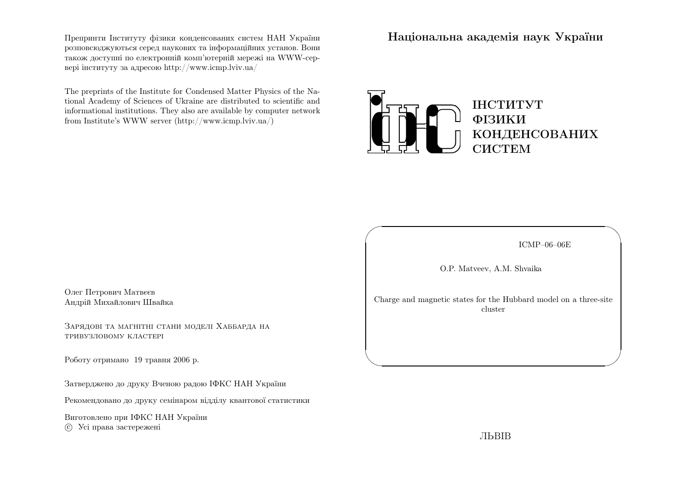Препринти Iнституту фiзики конденсованих систем НАН України розповсюджуються серед наукових та iнформацiйних установ. Вони також доступн<sup>i</sup> по електроннiй комп'ютернiй мереж<sup>i</sup> на WWW-сервер<sup>i</sup> iнституту за адресою http://www.icmp.lviv.ua/

The preprints of the Institute for Condensed Matter Physics of the National Academy of Sciences of Ukraine are distributed to scientific and informational institutions. They also are available by computer networkfrom Institute's WWW server (http://www.icmp.lviv.ua/)

Нацiональна академiя наук України



ICMP–06–06E

✩

 $\mathcal{S}$ 

O.P. Matveev, A.M. Shvaika

 $\sqrt{2}$ 

 $\setminus$ 

Charge and magnetic states for the Hubbard model on <sup>a</sup> three-site cluster

Олег Петрович Матвєєв Андрiй Михайлович Швайка

Зарядовi та магнiтнi стани моделi Хаббарда натривузловому кластерi

Роботу отримано <sup>19</sup> травня <sup>2006</sup> р.

Затверджено до друку Вченою радою IФКС НАН України

Рекомендовано до друку семiнаром вiддiлу квантової статистики

Виготовлено при IФКС НАН Україниc Усi права застережен<sup>i</sup>

ЛЬВIВ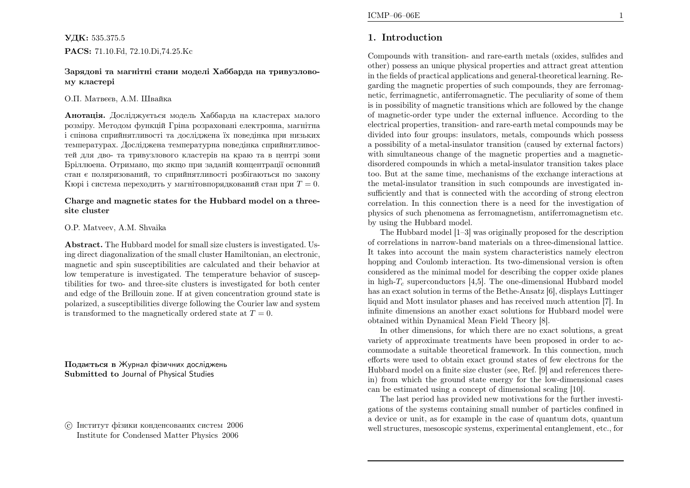## $\mathbf{V}\textcolor{blue}{\mu}$ к $:$  535.375.5 PACS: 71.10.Fd, 72.10.Di,74.25.Kc

## Зарядовi та магнiтнi стани моделi Хаббарда на тривузловому кластерi

## О.П. Матвєєв, А.М. Швайка

**Анотація.** Досліджується модель Хаббарда на кластерах малого розмiру. Методом функцiй Грiна розрахован<sup>i</sup> електронна, магнiтна i спiнова сприйнятливостi та дослiджена їх поведiнка при низьких температурах. Дослiджена температурна поведiнка сприйнятливостей для дво- та тривузлового кластерiв на краю та <sup>в</sup> центр<sup>i</sup> зони Брiллюена. Отримано, що якщо при заданiй концентрацiї основний стан <sup>є</sup> поляризований, то сприйнятливостi розбiгаються по законуКюрi i система переходить у магнiтовпорядкований стан при  $T=0.$ 

## Charge and magnetic states for the Hubbard model on <sup>a</sup> threesite cluster

## O.P. Matveev, A.M. Shvaika

Abstract. The Hubbard model for small size clusters is investigated. Using direct diagonalization of the small cluster Hamiltonian, an electronic, magnetic and spin susceptibilities are calculated and their behavior at low temperature is investigated. The temperature behavior of susceptibilities for two- and three-site clusters is investigated for both center and edge of the Brillouin zone. If at <sup>g</sup>iven concentration ground state is polarized, <sup>a</sup> susceptibilities diverge following the Courier law and systemis transformed to the magnetically ordered state at  $T = 0$ .

Подається <sup>в</sup> Журнал фiзичних дослiджень Submitted to Journal of Physical Studies

 $\odot$  Iнститут фiзики конденсованих систем  $2006$ Institute for Condensed Matter Physics <sup>2006</sup>

## 1. Introduction

Compounds with transition- and rare-earth metals (oxides, sulfides and other) possess an unique <sup>p</sup>hysical properties and attract great attention in the fields of practical applications and general-theoretical learning. Regarding the magnetic properties of such compounds, they are ferromagnetic, ferrimagnetic, antiferromagnetic. The peculiarity of some of them is in possibility of magnetic transitions which are followed by the change of magnetic-order type under the external influence. According to the electrical properties, transition- and rare-earth metal compounds may be divided into four groups: insulators, metals, compounds which possess <sup>a</sup> possibility of <sup>a</sup> metal-insulator transition (caused by external factors) with simultaneous change of the magnetic properties and a magneticdisordered compounds in which <sup>a</sup> metal-insulator transition takes <sup>p</sup>lace too. But at the same time, mechanisms of the exchange interactions at the metal-insulator transition in such compounds are investigated insufficiently and that is connected with the according of strong electron correlation. In this connection there is <sup>a</sup> need for the investigation of <sup>p</sup>hysics of such <sup>p</sup>henomena as ferromagnetism, antiferromagnetism etc. by using the Hubbard model.

The Hubbard model [1–3] was originally proposed for the description of correlations in narrow-band materials on <sup>a</sup> three-dimensional lattice. It takes into account the main system characteristics namely electron hopping and Coulomb interaction. Its two-dimensional version is often considered as the minimal model for describing the copper oxide <sup>p</sup>lanes in high- $T_c$  superconductors [4,5]. The one-dimensional Hubbard model has an exact solution in terms of the Bethe-Ansatz [6], displays Luttinger liquid and Mott insulator <sup>p</sup>hases and has received much attention [7]. In infinite dimensions an another exact solutions for Hubbard model were obtained within Dynamical Mean Field Theory [8].

In other dimensions, for which there are no exact solutions, <sup>a</sup> great variety of approximate treatments have been proposed in order to accommodate <sup>a</sup> suitable theoretical framework. In this connection, much efforts were used to obtain exact ground states of few electrons for the Hubbard model on <sup>a</sup> finite size cluster (see, Ref. [9] and references therein) from which the ground state energy for the low-dimensional cases can be estimated using <sup>a</sup> concept of dimensional scaling [10].

The last period has provided new motivations for the further investigations of the systems containing small number of particles confined in <sup>a</sup> device or unit, as for example in the case of quantum dots, quantumwell structures, mesoscopic systems, experimental entanglement, etc., for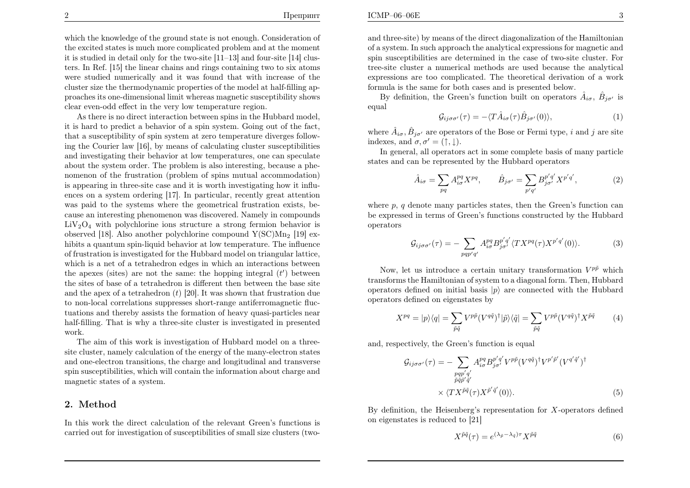which the knowledge of the ground state is not enough. Consideration of the excited states is much more complicated problem and at the moment it is studied in detail only for the two-site [11–13] and four-site [14] clusters. In Ref. [15] the linear chains and rings containing two to six atoms were studied numerically and it was found that with increase of the cluster size the thermodynamic properties of the model at half-filling approaches its one-dimensional limit whereas magnetic susceptibility shows clear even-odd effect in the very low temperature region.

As there is no direct interaction between spins in the Hubbard model, it is hard to predict <sup>a</sup> behavior of <sup>a</sup> spin system. Going out of the fact, that <sup>a</sup> susceptibility of spin system at zero temperature diverges following the Courier law [16], by means of calculating cluster susceptibilities and investigating their behavior at low temperatures, one can speculate about the system order. The problem is also interesting, because <sup>a</sup> <sup>p</sup>henomenon of the frustration (problem of spins mutual accommodation) is appearing in three-site case and it is worth investigating how it influences on <sup>a</sup> system ordering [17]. In particular, recently great attention was paid to the systems where the geometrical frustration exists, because an interesting <sup>p</sup>henomenon was discovered. Namely in compounds  $LiV<sub>2</sub>O<sub>4</sub>$  with polychlorine ions structure a strong fermion behavior is observed [18]. Also another polychlorine compound  $Y(\text{SC})\text{Mn}_2$  [19] exhibits a quantum spin-liquid behavior at low temperature. The influence of frustration is investigated for the Hubbard model on triangular lattice, which is <sup>a</sup> net of <sup>a</sup> tetrahedron edges in which an interactions betweenthe apexes (sites) are not the same: the hopping integral  $(t')$  between the sites of base of <sup>a</sup> tetrahedron is different then between the base site and the apex of a tetrahedron  $(t)$  [20]. It was shown that frustration due to non-local correlations suppresses short-range antiferromagnetic fluctuations and thereby assists the formation of heavy quasi-particles near half-filling. That is why <sup>a</sup> three-site cluster is investigated in presentedwork.

 The aim of this work is investigation of Hubbard model on <sup>a</sup> threesite cluster, namely calculation of the energy of the many-electron states and one-electron transitions, the charge and longitudinal and transverse spin susceptibilities, which will contain the information about charge and magnetic states of <sup>a</sup> system.

## 2. Method

In this work the direct calculation of the relevant Green's functions is carried out for investigation of susceptibilities of small size clusters (two-

and three-site) by means of the direct diagonalization of the Hamiltonian of <sup>a</sup> system. In such approac<sup>h</sup> the analytical expressions for magnetic and spin susceptibilities are determined in the case of two-site cluster. For tree-site cluster <sup>a</sup> numerical methods are used because the analytical expressions are too complicated. The theoretical derivation of <sup>a</sup> workformula is the same for both cases and is presented below.

By definition, the Green's function built on operators  $\hat{A}_{i\sigma}$ ,  $\hat{B}_{j\sigma'}$  is equal

$$
\mathcal{G}_{ij\sigma\sigma'}(\tau) = -\langle T\hat{A}_{i\sigma}(\tau)\hat{B}_{j\sigma'}(0)\rangle, \tag{1}
$$

where  $\hat{A}_{i\sigma}$ ,  $\hat{B}_{j\sigma'}$  are operators of the Bose or Fermi type, i and j are site indexes, and  $\sigma, \sigma' = (\uparrow, \downarrow).$ 

 In general, all operators act in some complete basis of many particle states and can be represented by the Hubbard operators

$$
\hat{A}_{i\sigma} = \sum_{pq} A_{i\sigma}^{pq} X^{pq}, \qquad \hat{B}_{j\sigma'} = \sum_{p'q'} B_{j\sigma'}^{p'q'} X^{p'q'}, \qquad (2)
$$

where  $p, q$  denote many particles states, then the Green's function can be expressed in terms of Green's functions constructed by the Hubbardoperators

$$
\mathcal{G}_{ij\sigma\sigma'}(\tau) = -\sum_{pqp'q'} A^{pq}_{i\sigma} B^{p'q'}_{j\sigma'} \langle TX^{pq}(\tau) X^{p'q'}(0) \rangle. \tag{3}
$$

Now, let us introduce a certain unitary transformation  $V^{p\bar{p}}$  which transforms the Hamiltonian of system to <sup>a</sup> diagonal form. Then, Hubbardoperators defined on initial basis  $|p\rangle$  are connected with the Hubbard operators defined on eigenstates by

$$
X^{pq} = |p\rangle\langle q| = \sum_{\tilde{p}\tilde{q}} V^{p\tilde{p}} (V^{q\tilde{q}})^{\dagger} |\tilde{p}\rangle\langle\tilde{q}| = \sum_{\tilde{p}\tilde{q}} V^{p\tilde{p}} (V^{q\tilde{q}})^{\dagger} X^{\tilde{p}\tilde{q}} \tag{4}
$$

and, respectively, the Green's function is equa<sup>l</sup>

$$
\mathcal{G}_{ij\sigma\sigma'}(\tau) = -\sum_{\substack{pqp'q'\\ \tilde{p}\tilde{q}\tilde{p}'\tilde{q}'}} A^{pq}_{i\sigma} B^{p'q'}_{j\sigma'} V^{p\tilde{p}} (V^{q\tilde{q}})^{\dagger} V^{p'\tilde{p}'} (V^{q'\tilde{q}'})^{\dagger}
$$

$$
\times \langle TX^{\tilde{p}\tilde{q}}(\tau) X^{\tilde{p}'\tilde{q}'}(0) \rangle.
$$
 (5)

By definition, the Heisenberg's representation for <sup>X</sup>-operators definedon eigenstates is reduced to [21]

$$
X^{\tilde{p}\tilde{q}}(\tau) = e^{(\lambda_{\tilde{p}} - \lambda_{\tilde{q}})\tau} X^{\tilde{p}\tilde{q}} \tag{6}
$$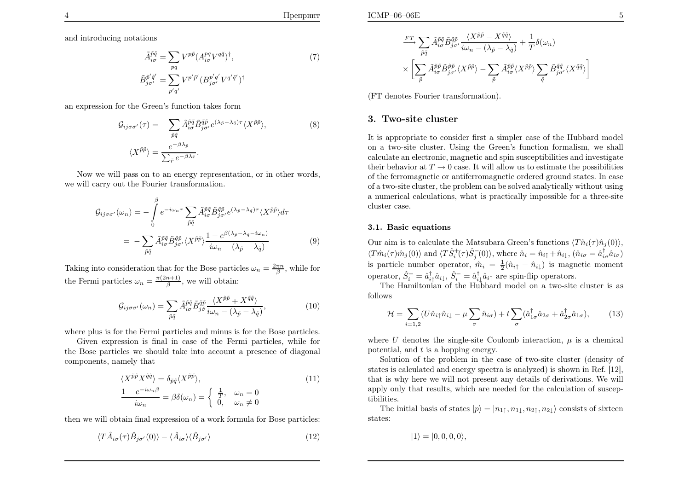Препринт

and introducing notations

$$
\tilde{A}^{\tilde{p}\tilde{q}}_{i\sigma} = \sum_{pq} V^{p\tilde{p}} (A^{pq}_{i\sigma} V^{q\tilde{q}})^{\dagger},
$$
\n
$$
\tilde{B}^{\tilde{p}'\tilde{q}'}_{j\sigma'} = \sum_{p'q'} V^{p'\tilde{p}'} (B^{p'q'}_{j\sigma'} V^{q'\tilde{q}'})^{\dagger}
$$
\n(7)

an expression for the Green's function takes form

$$
\mathcal{G}_{ij\sigma\sigma'}(\tau) = -\sum_{\tilde{p}\tilde{q}} \tilde{A}_{i\sigma}^{\tilde{p}\tilde{q}} \tilde{B}_{j\sigma'}^{\tilde{q}\tilde{p}} e^{(\lambda_{\tilde{p}} - \lambda_{\tilde{q}})\tau} \langle X^{\tilde{p}\tilde{p}} \rangle, \tag{8}
$$
\n
$$
\langle X^{\tilde{p}\tilde{p}} \rangle = \frac{e^{-\beta\lambda_{\tilde{p}}}}{\sum_{\tilde{r}} e^{-\beta\lambda_{\tilde{r}}}}.
$$

Now we will pass on to an energy representation, or in other words, we will carry out the Fourier transformation.

$$
\mathcal{G}_{ij\sigma\sigma'}(\omega_n) = -\int_0^\beta e^{-i\omega_n\tau} \sum_{\tilde{p}\tilde{q}} \tilde{A}_{i\sigma}^{\tilde{p}\tilde{q}} \tilde{B}_{j\sigma'}^{\tilde{q}\tilde{p}} e^{(\lambda_{\tilde{p}} - \lambda_{\tilde{q}})\tau} \langle X^{\tilde{p}\tilde{p}} \rangle d\tau \n= -\sum_{\tilde{p}\tilde{q}} \tilde{A}_{i\sigma}^{\tilde{p}\tilde{q}} \tilde{B}_{j\sigma'}^{\tilde{q}\tilde{p}} \langle X^{\tilde{p}\tilde{p}} \rangle \frac{1 - e^{\beta(\lambda_{\tilde{p}} - \lambda_{\tilde{q}} - i\omega_n)}}{i\omega_n - (\lambda_{\tilde{p}} - \lambda_{\tilde{q}})}
$$
\n(9)

Taking into consideration that for the Bose particles  $\omega_n = \frac{2\pi n}{\beta}$ , while for the Fermi particles  $\omega_n = \frac{\pi(2n+1)}{\beta}$ , we will obtain:

$$
\mathcal{G}_{ij\sigma\sigma'}(\omega_n) = \sum_{\tilde{p}\tilde{q}} \tilde{A}_{i\sigma}^{\tilde{p}\tilde{q}} \tilde{B}_{j\sigma}^{\tilde{q}\tilde{p}} \frac{\langle X^{\tilde{p}\tilde{p}} \mp X^{\tilde{q}\tilde{q}} \rangle}{i\omega_n - (\lambda_{\tilde{p}} - \lambda_{\tilde{q}})},
$$
(10)

where <sup>p</sup>lus is for the Fermi particles and minus is for the Bose particles.

Given expression is final in case of the Fermi particles, while for the Bose particles we should take into account <sup>a</sup> presence of diagonal components, namely that

$$
\langle X^{\tilde{p}\tilde{p}} X^{\tilde{q}\tilde{q}} \rangle = \delta_{\tilde{p}\tilde{q}} \langle X^{\tilde{p}\tilde{p}} \rangle, \n\frac{1 - e^{-i\omega_n \beta}}{i\omega_n} = \beta \delta(\omega_n) = \begin{cases} \frac{1}{T}, & \omega_n = 0 \\ 0, & \omega_n \neq 0 \end{cases}
$$
\n(11)

then we will obtain final expression of <sup>a</sup> work formula for Bose particles:

$$
\langle T\hat{A}_{i\sigma}(\tau)\hat{B}_{j\sigma'}(0)\rangle - \langle \hat{A}_{i\sigma}\rangle \langle \hat{B}_{j\sigma'}\rangle \tag{12}
$$

$$
\frac{FT}{\tilde{p}\tilde{q}} \sum_{\tilde{p}\tilde{q}} \tilde{A}^{\tilde{p}\tilde{q}}_{i\sigma} \tilde{B}^{\tilde{q}\tilde{p}}_{j\sigma'} \frac{\langle X^{\tilde{p}\tilde{p}} - X^{\tilde{q}\tilde{q}} \rangle}{i\omega_n - (\lambda_{\tilde{p}} - \lambda_{\tilde{q}})} + \frac{1}{T} \delta(\omega_n)
$$

$$
\times \left[ \sum_{\tilde{p}} \tilde{A}^{\tilde{p}\tilde{p}}_{i\sigma} \tilde{B}^{\tilde{p}\tilde{p}}_{j\sigma'} \langle X^{\tilde{p}\tilde{p}} \rangle - \sum_{\tilde{p}} \tilde{A}^{\tilde{p}\tilde{p}}_{i\sigma} \langle X^{\tilde{p}\tilde{p}} \rangle \sum_{\tilde{q}} \tilde{B}^{\tilde{q}\tilde{q}}_{j\sigma'} \langle X^{\tilde{q}\tilde{q}} \rangle \right]
$$

(FT denotes Fourier transformation).

### 3. Two-site cluster

It is appropriate to consider first <sup>a</sup> simpler case of the Hubbard model on <sup>a</sup> two-site cluster. Using the Green's function formalism, we shall calculate an electronic, magnetic and spin susceptibilities and investigate their behavior at  $T \to 0$  case. It will allow us to estimate the possibilities of the ferromagnetic or antiferromagnetic ordered ground states. In case of the ferromagnetic or antiferromagnetic ordered ground states. In case of <sup>a</sup> two-site cluster, the problem can be solved analytically without using <sup>a</sup> numerical calculations, what is practically impossible for <sup>a</sup> three-site cluster case.

#### 3.1. Basic equations

Our aim is to calculate the Matsubara Green's functions  $\langle T\hat{n}_i(\tau)\hat{n}_j(0)\rangle$ ,  $\langle T\hat{m}_i(\tau)\hat{m}_j(0)\rangle$  and  $\langle T\hat{S}_i^+(\tau)\hat{S}_j^-(0)\rangle$ , where  $\hat{n}_i = \hat{n}_{i\uparrow} + \hat{n}_{i\downarrow}$ ,  $(\hat{n}_{i\sigma} = \hat{a}_{i\sigma}^{\dagger}\hat{a}_{i\sigma})$ is particle number operator,  $\hat{m}_i = \frac{1}{2}(\hat{n}_{i\uparrow} - \hat{n}_{i\downarrow})$  is magnetic moment operator,  $\hat{S}_i^+ = \hat{a}_{i\uparrow}^\dagger \hat{a}_{i\downarrow}, \hat{S}_i^- = \hat{a}_{i\downarrow}^\dagger \hat{a}_{i\uparrow}$  are spin-flip operators.

The Hamiltonian of the Hubbard model on <sup>a</sup> two-site cluster is as follows

$$
\mathcal{H} = \sum_{i=1,2} (U\hat{n}_{i\uparrow}\hat{n}_{i\downarrow} - \mu \sum_{\sigma} \hat{n}_{i\sigma}) + t \sum_{\sigma} (\hat{a}_{1\sigma}^{\dagger}\hat{a}_{2\sigma} + \hat{a}_{2\sigma}^{\dagger}\hat{a}_{1\sigma}), \tag{13}
$$

where U denotes the single-site Coulomb interaction,  $\mu$  is a chemical potential, and  $t$  is a hopping energy.

Solution of the problem in the case of two-site cluster (density of states is calculated and energy spectra is analyzed) is shown in Ref. [12], that is why here we will not present any details of derivations. We will apply only that results, which are needed for the calculation of susceptibilities.

The initial basis of states  $|p\rangle = |n_{1\uparrow}, n_{1\downarrow}, n_{2\uparrow}, n_{2\downarrow}\rangle$  consists of sixteen states:

$$
|1\rangle = |0,0,0,0\rangle,
$$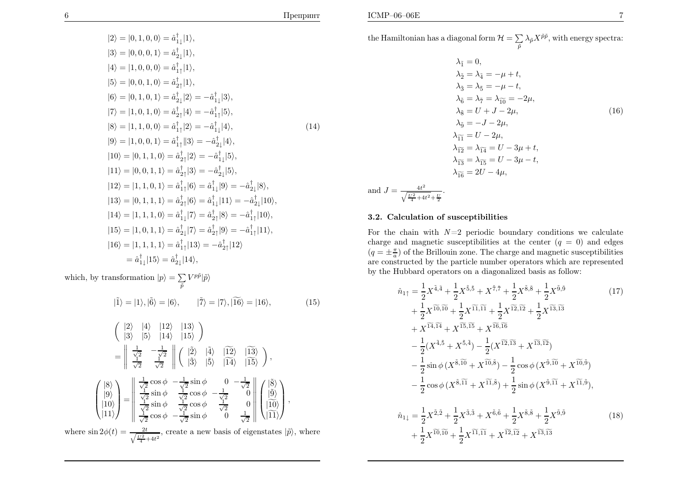$$
|2\rangle = |0, 1, 0, 0\rangle = \hat{a}_{1\downarrow}^{\dagger}|1\rangle,
$$
  
\n
$$
|3\rangle = |0, 0, 0, 1\rangle = \hat{a}_{2\downarrow}^{\dagger}|1\rangle,
$$
  
\n
$$
|4\rangle = |1, 0, 0, 0\rangle = \hat{a}_{1\uparrow}^{\dagger}|1\rangle,
$$
  
\n
$$
|5\rangle = |0, 0, 1, 0\rangle = \hat{a}_{2\uparrow}^{\dagger}|1\rangle,
$$
  
\n
$$
|6\rangle = |0, 1, 0, 1\rangle = \hat{a}_{2\downarrow}^{\dagger}|2\rangle = -\hat{a}_{1\downarrow}^{\dagger}|3\rangle,
$$
  
\n
$$
|7\rangle = |1, 0, 1, 0\rangle = \hat{a}_{2\uparrow}^{\dagger}|4\rangle = -\hat{a}_{1\uparrow}^{\dagger}|5\rangle,
$$
  
\n
$$
|8\rangle = |1, 1, 0, 0\rangle = \hat{a}_{1\uparrow}^{\dagger}|2\rangle = -\hat{a}_{1\downarrow}^{\dagger}|4\rangle,
$$
  
\n
$$
|9\rangle = |1, 0, 0, 1\rangle = \hat{a}_{1\uparrow}^{\dagger}|3\rangle = -\hat{a}_{2\downarrow}^{\dagger}|4\rangle,
$$
  
\n
$$
|10\rangle = |0, 1, 1, 0\rangle = \hat{a}_{2\uparrow}^{\dagger}|2\rangle = -\hat{a}_{1\downarrow}^{\dagger}|5\rangle,
$$
  
\n
$$
|11\rangle = |0, 0, 1, 1\rangle = \hat{a}_{2\uparrow}^{\dagger}|3\rangle = -\hat{a}_{2\downarrow}^{\dagger}|5\rangle,
$$
  
\n
$$
|12\rangle = |1, 1, 0, 1\rangle = \hat{a}_{1\uparrow}^{\dagger}|6\rangle = \hat{a}_{1\downarrow}^{\dagger}|9\rangle = -\hat{a}_{2\downarrow}^{\dagger}|8\rangle,
$$
  
\n
$$
|13\rangle = |0, 1, 1, 1\rangle = \hat{a}_{2\uparrow}^{\dagger}|6\rangle = \hat{a}_{1\downarrow}^{\dagger}|11\rangle
$$

which, by transformation  $|p\rangle = \sum_{\tilde{p}}$ V  ${}^{p\tilde{p}}\left|\tilde{p}\right\rangle$  $|\tilde{1}\rangle = |1\rangle, |\tilde{6}\rangle = |6\rangle, \qquad |\tilde{7}\rangle = |7\rangle, |\tilde{16}\rangle = |16\rangle,$  (15)

 <sup>|</sup>2<sup>i</sup> <sup>|</sup>4<sup>i</sup> <sup>|</sup>12<sup>i</sup> <sup>|</sup>13<sup>i</sup> <sup>|</sup>3<sup>i</sup> <sup>|</sup>5<sup>i</sup> <sup>|</sup>14<sup>i</sup> <sup>|</sup>15<sup>i</sup> = √1 2√1 2√1 2√1 2 <sup>|</sup>˜2<sup>i</sup> <sup>|</sup>˜4<sup>i</sup> <sup>|</sup> f<sup>12</sup><sup>i</sup> <sup>|</sup> f13i<sup>|</sup>˜3<sup>i</sup> <sup>|</sup>˜5<sup>i</sup> <sup>|</sup> f<sup>14</sup><sup>i</sup> <sup>|</sup> f15i , |8i|9i|10i|11i =√1 2 cos φ√1 2 sin φ <sup>0</sup> <sup>−</sup>√1 2√1 2 sin φ√1 2 cos φ√1 20√1 2 sin φ√1 2 cos φ√1 20√1 2 cos φ√1 2 sin φ <sup>0</sup> <sup>√</sup><sup>1</sup> 2 |˜8i|˜9i|<sup>f</sup>10i|<sup>f</sup>11i , where sin <sup>2</sup>φ(t) <sup>=</sup><sup>q</sup> <sup>2</sup><sup>t</sup> U<sup>2</sup> 4 +4<sup>t</sup> 2 , create <sup>a</sup> new basis of eigenstates |p˜i, where

the Hamiltonian has <sup>a</sup> diagonal form H= $= \sum_{\tilde{p}} \lambda_{\tilde{p}} X^{\tilde{p}\tilde{p}}$ , with energy spectra:

$$
\lambda_{\tilde{1}} = 0,
$$
\n
$$
\lambda_{\tilde{2}} = \lambda_{\tilde{4}} = -\mu + t,
$$
\n
$$
\lambda_{\tilde{3}} = \lambda_{\tilde{5}} = -\mu - t,
$$
\n
$$
\lambda_{\tilde{6}} = \lambda_{\tilde{7}} = \lambda_{\tilde{10}} = -2\mu,
$$
\n
$$
\lambda_{\tilde{8}} = U + J - 2\mu,
$$
\n
$$
\lambda_{\tilde{9}} = -J - 2\mu,
$$
\n
$$
\lambda_{\tilde{11}} = U - 2\mu,
$$
\n
$$
\lambda_{\tilde{12}} = \lambda_{\tilde{14}} = U - 3\mu + t,
$$
\n
$$
\lambda_{\tilde{13}} = \lambda_{\tilde{15}} = U - 3\mu - t,
$$
\n
$$
\lambda_{\tilde{16}} = 2U - 4\mu,
$$
\nand 
$$
J = \frac{4t^2}{\sqrt{\frac{U^2}{4} + 4t^2 + \frac{U}{2}}}
$$
.\n
$$
\lambda_{\tilde{16}} = 2U - 4\mu,
$$

## 3.2. Calculation of susceptibilities

For the chain with  $N=2$  periodic boundary conditions we calculate charge and magnetic susceptibilities at the center  $(q = 0)$  and edges  $(q = \pm \frac{\pi}{a})$  of the Brillouin zone. The charge and magnetic susceptibilities are constructed by the particle number operators which are representedby the Hubbard operators on <sup>a</sup> diagonalized basis as follow:

$$
\hat{n}_{1\uparrow} = \frac{1}{2} X^{\tilde{4}, \tilde{4}} + \frac{1}{2} X^{\tilde{5}, \tilde{5}} + X^{\tilde{7}, \tilde{7}} + \frac{1}{2} X^{\tilde{8}, \tilde{8}} + \frac{1}{2} X^{\tilde{9}, \tilde{9}} \\
+ \frac{1}{2} X^{\tilde{10}, \tilde{10}} + \frac{1}{2} X^{\tilde{11}, \tilde{11}} + \frac{1}{2} X^{\tilde{12}, \tilde{12}} + \frac{1}{2} X^{\tilde{13}, \tilde{13}} \\
+ X^{\tilde{14}, \tilde{14}} + X^{\tilde{15}, \tilde{15}} + X^{\tilde{16}, \tilde{16}} \\
- \frac{1}{2} (X^{\tilde{4}, \tilde{5}} + X^{\tilde{5}, \tilde{4}}) - \frac{1}{2} (X^{\tilde{12}, \tilde{13}} + X^{\tilde{13}, \tilde{12}}) \\
- \frac{1}{2} \sin \phi (X^{\tilde{8}, \tilde{10}} + X^{\tilde{10}, \tilde{8}}) - \frac{1}{2} \cos \phi (X^{\tilde{9}, \tilde{10}} + X^{\tilde{10}, \tilde{9}}) \\
- \frac{1}{2} \cos \phi (X^{\tilde{8}, \tilde{11}} + X^{\tilde{11}, \tilde{8}}) + \frac{1}{2} \sin \phi (X^{\tilde{9}, \tilde{11}} + X^{\tilde{11}, \tilde{9}}), \\
\hat{n}_{1\downarrow} = \frac{1}{2} X^{\tilde{2}, \tilde{2}} + \frac{1}{2} X^{\tilde{3}, \tilde{3}} + X^{\tilde{6}, \tilde{6}} + \frac{1}{2} X^{\tilde{8}, \tilde{8}} + \frac{1}{2} X^{\tilde{9}, \tilde{9}} \\
+ \frac{1}{2} X^{\tilde{10}, \tilde{10}} + \frac{1}{2} X^{\tilde{11}, \tilde{11}} + X^{\tilde{12}, \tilde{12}} + X^{\tilde{13}, \tilde{13}} \tag{18}
$$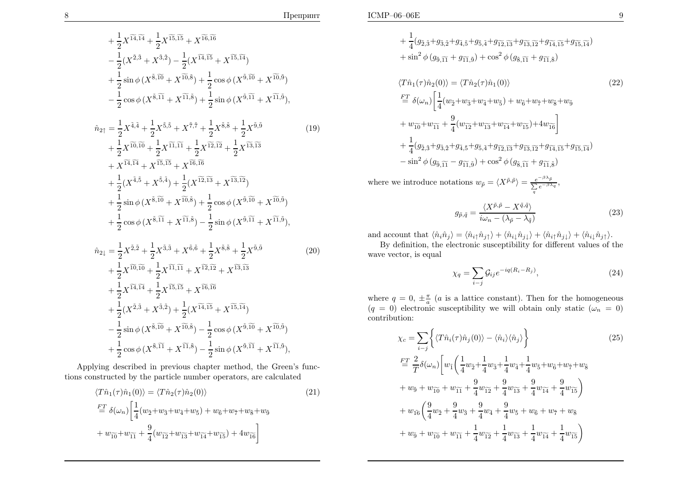$$
+\frac{1}{2}X^{\widetilde{14},\widetilde{14}} + \frac{1}{2}X^{\widetilde{15},\widetilde{15}} + X^{\widetilde{16},\widetilde{16}} \n- \frac{1}{2}(X^{\widetilde{2},\widetilde{3}} + X^{\widetilde{3},\widetilde{2}}) - \frac{1}{2}(X^{\widetilde{14},\widetilde{15}} + X^{\widetilde{15},\widetilde{14}}) \n+ \frac{1}{2}\sin\phi(X^{\widetilde{8},\widetilde{10}} + X^{\widetilde{10},\widetilde{8}}) + \frac{1}{2}\cos\phi(X^{\widetilde{9},\widetilde{10}} + X^{\widetilde{10},\widetilde{9}}) \n- \frac{1}{2}\cos\phi(X^{\widetilde{8},\widetilde{11}} + X^{\widetilde{11},\widetilde{8}}) + \frac{1}{2}\sin\phi(X^{\widetilde{9},\widetilde{11}} + X^{\widetilde{11},\widetilde{9}}), \n\hat{n}_{2\uparrow} = \frac{1}{2}X^{\widetilde{4},\widetilde{4}} + \frac{1}{2}X^{\widetilde{5},\widetilde{5}} + X^{\widetilde{7},\widetilde{7}} + \frac{1}{2}X^{\widetilde{8},\widetilde{8}} + \frac{1}{2}X^{\widetilde{9},\widetilde{9}} \n+ \frac{1}{2}X^{\widetilde{10},\widetilde{10}} + \frac{1}{2}X^{\widetilde{11},\widetilde{11}} + \frac{1}{2}X^{\widetilde{12},\widetilde{12}} + \frac{1}{2}X^{\widetilde{13},\widetilde{13}} \n+ X^{\widetilde{14},\widetilde{14}} + X^{\widetilde{15},\widetilde{15}} + X^{\widetilde{16},\widetilde{16}} \n+ \frac{1}{2}(X^{\widetilde{4},\widetilde{5}} + X^{\widetilde{5},\widetilde{4}}) + \frac{1}{2}(X^{\widetilde{12},\widetilde{13}} + X^{\widetilde{13},\widetilde{12}}) \n+ \frac{1}{2}\sin\
$$

$$
\hat{n}_{2\downarrow} = \frac{1}{2} X^{\tilde{2},\tilde{2}} + \frac{1}{2} X^{\tilde{3},\tilde{3}} + X^{\tilde{6},\tilde{6}} + \frac{1}{2} X^{\tilde{8},\tilde{8}} + \frac{1}{2} X^{\tilde{9},\tilde{9}} \\
+ \frac{1}{2} X^{\tilde{10},\tilde{10}} + \frac{1}{2} X^{\tilde{11},\tilde{11}} + X^{\tilde{12},\tilde{12}} + X^{\tilde{13},\tilde{13}} \\
+ \frac{1}{2} X^{\tilde{14},\tilde{14}} + \frac{1}{2} X^{\tilde{15},\tilde{15}} + X^{\tilde{16},\tilde{16}} \\
+ \frac{1}{2} (X^{\tilde{2},\tilde{3}} + X^{\tilde{3},\tilde{2}}) + \frac{1}{2} (X^{\tilde{14},\tilde{15}} + X^{\tilde{15},\tilde{14}}) \\
- \frac{1}{2} \sin \phi (X^{\tilde{8},\tilde{10}} + X^{\tilde{10},\tilde{8}}) - \frac{1}{2} \cos \phi (X^{\tilde{9},\tilde{10}} + X^{\tilde{10},\tilde{9}}) \\
+ \frac{1}{2} \cos \phi (X^{\tilde{8},\tilde{11}} + X^{\tilde{11},\tilde{8}}) - \frac{1}{2} \sin \phi (X^{\tilde{9},\tilde{11}} + X^{\tilde{11},\tilde{9}}),
$$
\n(20)

 Applying described in previous chapter method, the Green's functions constructed by the particle number operators, are calculated

$$
\langle T\hat{n}_{1}(\tau)\hat{n}_{1}(0)\rangle = \langle T\hat{n}_{2}(\tau)\hat{n}_{2}(0)\rangle
$$
\n
$$
\stackrel{FT}{=} \delta(\omega_{n})\bigg[\frac{1}{4}(w_{\tilde{2}}+w_{\tilde{3}}+w_{\tilde{4}}+w_{\tilde{5}})+w_{\tilde{6}}+w_{\tilde{7}}+w_{\tilde{8}}+w_{\tilde{9}} + w_{\tilde{10}}+w_{\tilde{10}}+w_{\tilde{11}}+\frac{9}{4}(w_{\tilde{12}}+w_{\tilde{13}}+w_{\tilde{14}}+w_{\tilde{15}})+4w_{\tilde{16}}\bigg]
$$
\n
$$
(21)
$$

+ 
$$
\frac{1}{4}
$$
 $(g_{\tilde{2},\tilde{3}}+g_{\tilde{3},\tilde{2}}+g_{\tilde{4},\tilde{5}}+g_{\tilde{5},\tilde{4}}+g_{\tilde{12},\tilde{13}}+g_{\tilde{13},\tilde{12}}+g_{\tilde{14},\tilde{15}}+g_{\tilde{15},\tilde{14}})+  $\sin^2 \phi (g_{\tilde{9},\tilde{11}}+g_{\tilde{11},\tilde{9}})+\cos^2 \phi (g_{\tilde{8},\tilde{11}}+g_{\tilde{11},\tilde{8}})$$ 

$$
\langle T\hat{n}_{1}(\tau)\hat{n}_{2}(0)\rangle = \langle T\hat{n}_{2}(\tau)\hat{n}_{1}(0)\rangle
$$
\n
$$
\stackrel{FT}{=} \delta(\omega_{n})\bigg[\frac{1}{4}(w_{\tilde{2}}+w_{\tilde{3}}+w_{\tilde{4}}+w_{\tilde{5}})+w_{\tilde{6}}+w_{\tilde{7}}+w_{\tilde{8}}+w_{\tilde{9}}\n+ w_{\tilde{10}}+w_{\tilde{11}}+\frac{9}{4}(w_{\tilde{12}}+w_{\tilde{13}}+w_{\tilde{14}}+w_{\tilde{15}})+4w_{\tilde{16}}\bigg]
$$
\n
$$
+\frac{1}{4}(g_{\tilde{2},\tilde{3}}+g_{\tilde{3},\tilde{2}}+g_{\tilde{4},\tilde{5}}+g_{\tilde{5},\tilde{4}}+g_{\tilde{12},\tilde{13}}+g_{\tilde{13},\tilde{12}}+g_{\tilde{14},\tilde{15}}+g_{\tilde{15},\tilde{14}})
$$
\n
$$
-\sin^{2}\phi(g_{\tilde{9},\tilde{11}}-g_{\tilde{11},\tilde{9}})+\cos^{2}\phi(g_{\tilde{8},\tilde{11}}+g_{\tilde{11},\tilde{8}})
$$
\n(22)

where we introduce notations  $w_{\tilde{p}} = \langle X^{\tilde{p}, \tilde{p}} \rangle =$  $\frac{e^{-\beta\lambda}\tilde{p}}{\sum\limits_{q}e^{-\beta\lambda_{q}}},$ 

$$
g_{\tilde{p},\tilde{q}} = \frac{\langle X^{\tilde{p},\tilde{p}} - X^{\tilde{q},\tilde{q}} \rangle}{i\omega_n - (\lambda_{\tilde{p}} - \lambda_{\tilde{q}})}
$$
(23)

and account that  $\langle \hat{n}_i \hat{n}_j \rangle = \langle \hat{n}_{i\uparrow} \hat{n}_{j\uparrow} \rangle + \langle \hat{n}_{i\downarrow} \hat{n}_{j\downarrow} \rangle + \langle \hat{n}_{i\uparrow} \hat{n}_{j\downarrow} \rangle + \langle \hat{n}_{i\downarrow} \hat{n}_{j\uparrow} \rangle.$ 

By definition, the electronic susceptibility for different values of the wave vector, is equa<sup>l</sup>

$$
\chi_q = \sum_{i-j} \mathcal{G}_{ij} e^{-iq(R_i - R_j)},\tag{24}
$$

where  $q = 0, \pm \frac{\pi}{a}$  (*a* is a lattice constant). Then for the homogeneous  $(a - 0)$  electronic quescribility we will obtain only static  $(a - 0)$  $(q = 0)$  electronic susceptibility we will obtain only static  $(\omega_n = 0)$ contribution:

$$
\chi_{c} = \sum_{i-j} \left\{ \langle T\hat{n}_{i}(\tau)\hat{n}_{j}(0) \rangle - \langle \hat{n}_{i} \rangle \langle \hat{n}_{j} \rangle \right\}
$$
(25)  
\n
$$
\stackrel{FT}{=} \frac{2}{T} \delta(\omega_{n}) \left[ w_{\tilde{1}} \left( \frac{1}{4} w_{\tilde{2}} + \frac{1}{4} w_{\tilde{3}} + \frac{1}{4} w_{\tilde{4}} + \frac{1}{4} w_{\tilde{5}} + w_{\tilde{6}} + w_{\tilde{7}} + w_{\tilde{8}} + w_{\tilde{9}} + w_{\tilde{10}} + w_{\tilde{11}} + \frac{9}{4} w_{\tilde{12}} + \frac{9}{4} w_{\tilde{13}} + \frac{9}{4} w_{\tilde{14}} + \frac{9}{4} w_{\tilde{15}} \right)
$$
  
\n
$$
+ w_{\tilde{16}} \left( \frac{9}{4} w_{\tilde{2}} + \frac{9}{4} w_{\tilde{3}} + \frac{9}{4} w_{\tilde{4}} + \frac{9}{4} w_{\tilde{5}} + w_{\tilde{6}} + w_{\tilde{7}} + w_{\tilde{8}} + w_{\tilde{9}} + w_{\tilde{10}} + w_{\tilde{11}} + \frac{1}{4} w_{\tilde{12}} + \frac{1}{4} w_{\tilde{13}} + \frac{1}{4} w_{\tilde{14}} + \frac{1}{4} w_{\tilde{15}} \right)
$$
(25)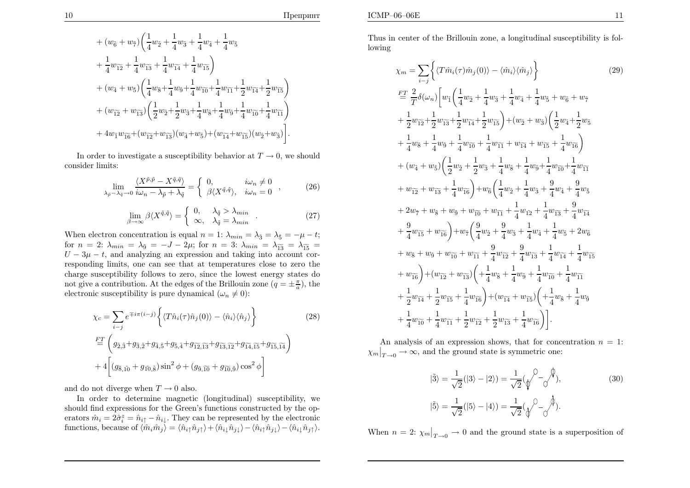$$
\begin{split} &+ (w_{\tilde{6}} + w_{\tilde{7}}) \bigg(\frac{1}{4}w_{\tilde{2}} + \frac{1}{4}w_{\tilde{3}} + \frac{1}{4}w_{\tilde{4}} + \frac{1}{4}w_{\tilde{5}} \\ &+ \frac{1}{4}w_{\tilde{1}\tilde{2}} + \frac{1}{4}w_{\tilde{1}\tilde{3}} + \frac{1}{4}w_{\tilde{1}\tilde{4}} + \frac{1}{4}w_{\tilde{1}\tilde{5}} \bigg) \\ &+ (w_{\tilde{4}} + w_{\tilde{5}}) \bigg(\frac{1}{4}w_{\tilde{8}} + \frac{1}{4}w_{\tilde{9}} + \frac{1}{4}w_{\tilde{1}\tilde{0}} + \frac{1}{4}w_{\tilde{1}\tilde{1}} + \frac{1}{2}w_{\tilde{1}\tilde{4}} + \frac{1}{2}w_{\tilde{1}\tilde{5}} \bigg) \\ &+ (w_{\tilde{1}\tilde{2}} + w_{\tilde{1}\tilde{3}}) \bigg(\frac{1}{2}w_{\tilde{2}} + \frac{1}{2}w_{\tilde{3}} + \frac{1}{4}w_{\tilde{5}} + \frac{1}{4}w_{\tilde{9}} + \frac{1}{4}w_{\tilde{1}\tilde{0}} + \frac{1}{4}w_{\tilde{1}\tilde{1}} \bigg) \\ &+ 4w_{\tilde{1}}w_{\tilde{1}\tilde{6}} + (w_{\tilde{1}\tilde{2}} + w_{\tilde{1}\tilde{3}})(w_{\tilde{4}} + w_{\tilde{5}}) + (w_{\tilde{1}\tilde{4}} + w_{\tilde{1}\tilde{5}})(w_{\tilde{2}} + w_{\tilde{3}}) \bigg]. \end{split}
$$

In order to investigate a susceptibility behavior at  $T \to 0$ , we should sider limits: consider limits:

$$
\lim_{\lambda_{\tilde{p}} - \lambda_{\tilde{q}} \to 0} \frac{\langle X^{\tilde{p}, \tilde{p}} - X^{\tilde{q}, \tilde{q}} \rangle}{i\omega_n - \lambda_{\tilde{p}} + \lambda_{\tilde{q}}} = \begin{cases} 0, & i\omega_n \neq 0 \\ \beta \langle X^{\tilde{q}, \tilde{q}} \rangle, & i\omega_n = 0 \end{cases},
$$
(26)

$$
\lim_{\beta \to \infty} \beta \langle X^{\tilde{q}, \tilde{q}} \rangle = \begin{cases} 0, & \lambda_{\tilde{q}} > \lambda_{min} \\ \infty, & \lambda_{\tilde{q}} = \lambda_{min} \end{cases} .
$$
 (27)

When electron concentration is equal  $n = 1: \lambda_{min} = \lambda_{\tilde{3}} = \lambda_{\tilde{5}} = -\mu - t;$ for  $n = 2$ :  $\lambda_{min} = \lambda_{\bar{9}} = -J - 2\mu$ ; for  $n = 3$ :  $\lambda_{min} = \lambda_{\bar{13}} = \lambda_{\bar{15}} =$  $U - 3\mu - t$ , and analyzing an expression and taking into account cor responding limits, one can see that at temperatures close to zero the charge susceptibility follows to zero, since the lowest energy states do not give a contribution. At the edges of the Brillouin zone  $(q = \pm \frac{\pi}{a})$ , the electronic susceptibility is pure dynamical  $(\omega_n \neq 0)$ :

$$
\chi_c = \sum_{i-j} e^{\mp i\pi (i-j)} \left\{ \langle T\hat{n}_i(\tau)\hat{n}_j(0) \rangle - \langle \hat{n}_i \rangle \langle \hat{n}_j \rangle \right\}
$$
(28)  

$$
\stackrel{FT}{=} \left( g_{\tilde{2},\tilde{3}} + g_{\tilde{3},\tilde{2}} + g_{\tilde{4},\tilde{5}} + g_{\tilde{5},\tilde{4}} + g_{\tilde{1}\tilde{2},\tilde{1}\tilde{3}} + g_{\tilde{1}\tilde{3},\tilde{1}\tilde{2}} + g_{\tilde{1}\tilde{4},\tilde{1}\tilde{5}} + g_{\tilde{1}\tilde{5},\tilde{1}\tilde{4}} \right)
$$

$$
+ 4 \left[ (g_{\tilde{8},\tilde{10}} + g_{\tilde{10},\tilde{8}}) \sin^2 \phi + (g_{\tilde{9},\tilde{10}} + g_{\tilde{10},\tilde{9}}) \cos^2 \phi \right]
$$

and do not diverge when  $T\rightarrow 0$  also.<br>In order to determine magnetic

 In order to determine magnetic (longitudinal) susceptibility, we should find expressions for the Green's functions constructed by the operators  $\hat{m}_i = 2\hat{\sigma}_i^z = \hat{n}_{i\uparrow} - \hat{n}_{i\downarrow}$ . They can be represented by the electronic functions, because of  $\langle \hat{m}_i \hat{m}_j \rangle = \langle \hat{n}_{i\uparrow} \hat{n}_{j\uparrow} \rangle + \langle \hat{n}_{i\downarrow} \hat{n}_{j\downarrow} \rangle - \langle \hat{n}_{i\uparrow} \hat{n}_{j\downarrow} \rangle - \langle \hat{n}_{i\downarrow} \hat{n}_{j\uparrow} \rangle.$ 

Thus in center of the Brillouin zone, <sup>a</sup> longitudinal susceptibility is following

$$
\chi_{m} = \sum_{i-j} \left\{ \langle T\hat{m}_{i}(\tau)\hat{m}_{j}(0) \rangle - \langle \hat{m}_{i} \rangle \langle \hat{m}_{j} \rangle \right\}
$$
(29)  
\n
$$
\frac{FT}{2} \frac{2}{T} \delta(\omega_{n}) \left[ w_{1} \left( \frac{1}{4} w_{2} + \frac{1}{4} w_{3} + \frac{1}{4} w_{4} + \frac{1}{4} w_{5} + w_{6} + w_{7} \right. \right. \\ \left. + \frac{1}{2} w_{12} \left\{ + \frac{1}{2} w_{13} + \frac{1}{2} w_{14} + \frac{1}{2} w_{15} \right\} + (w_{2} + w_{3}) \left( \frac{1}{2} w_{4} + \frac{1}{2} w_{5} \right. \right. \\ \left. + \frac{1}{4} w_{8} + \frac{1}{4} w_{9} + \frac{1}{4} w_{10} + \frac{1}{4} w_{11} + w_{14} + w_{15} + \frac{1}{4} w_{16} \right) \\ \left. + (w_{4} + w_{5}) \left( \frac{1}{2} w_{2} + \frac{1}{2} w_{3} + \frac{1}{4} w_{8} + \frac{1}{4} w_{9} + \frac{1}{4} w_{10} + \frac{1}{4} w_{11} \right. \\ \left. + w_{12} \left\{ + w_{13} + \frac{1}{4} w_{16} \right\} + w_{6} \left( \frac{1}{4} w_{2} + \frac{1}{4} w_{3} + \frac{9}{4} w_{4} + \frac{9}{4} w_{5} \right. \right. \\ \left. + 2 w_{7} \left\{ + w_{8} \left\{ + w_{9} \right\} + w_{10} + w_{11} + \frac{1}{4} w_{12} + \frac{1}{4} w_{13} + \frac{9}{4} w_{14} \right. \\ \left. + \frac{9}{4} w_{15} \left\{ + w_{16} \right\} + w_{16} \left( \frac{9}{4} w_{2} + \frac{9}{4} w_{3} + \frac{1}{4} w_{4} + \frac{1}{4} w_{5} + 2 w_{6} \right. \right. \\ \left. + w_{8} \left\{ + w_{9}
$$

An analysis of an expression shows, that for concentration  $n = 1$ :  $\left.\chi_m\right|_{T\rightarrow 0} \rightarrow \infty$ , and the ground state is symmetric one:

$$
|\tilde{3}\rangle = \frac{1}{\sqrt{2}}(|3\rangle - |2\rangle) = \frac{1}{\sqrt{2}}(\sqrt{\phantom{0}}^2 - \sqrt{\phantom{0}}^2),
$$
  

$$
|\tilde{5}\rangle = \frac{1}{\sqrt{2}}(|5\rangle - |4\rangle) = \frac{1}{\sqrt{2}}(\sqrt{\phantom{0}}^2 - \sqrt{\phantom{0}}^2).
$$
 (30)

When  $n = 2$ :  $\chi_m|_{T \to 0} \to 0$  and the ground state is a superposition of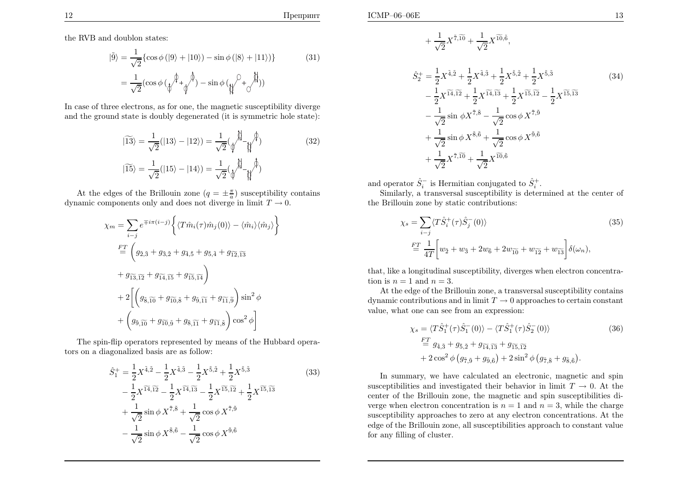$\mathbf{E}$  13

the RVB and doublon states:

$$
|\tilde{9}\rangle = \frac{1}{\sqrt{2}} \{ \cos \phi (|9\rangle + |10\rangle) - \sin \phi (|8\rangle + |11\rangle) \}
$$
(31)  

$$
= \frac{1}{\sqrt{2}} (\cos \phi (\sqrt[4]{\frac{1}{4}} \sqrt[4]{\frac{1}{4}}) - \sin \phi (\sqrt[4]{\frac{1}{4}} \sqrt[4]{\frac{1}{4}}))
$$

In case of three electrons, as for one, the magnetic susceptibility diverge and the ground state is doubly degenerated (it is symmetric hole state):

$$
|\widetilde{13}\rangle = \frac{1}{\sqrt{2}}(|13\rangle - |12\rangle) = \frac{1}{\sqrt{2}}(\sqrt{\stackrel{\circ}{\psi}} - \sqrt{\stackrel{\circ}{\psi}})
$$
(32)  

$$
|\widetilde{15}\rangle = \frac{1}{\sqrt{2}}(|15\rangle - |14\rangle) = \frac{1}{\sqrt{2}}(\sqrt{\stackrel{\circ}{\psi}} - \sqrt{\stackrel{\circ}{\psi}})
$$

At the edges of the Brillouin zone  $(q = \pm \frac{\pi}{a})$  susceptibility contains dynamic components only and does not diverge in limit  $T \to 0$ .

$$
\chi_m = \sum_{i-j} e^{\mp i\pi (i-j)} \left\{ \langle T\hat{m}_i(\tau)\hat{m}_j(0) \rangle - \langle \hat{m}_i \rangle \langle \hat{m}_j \rangle \right\}
$$
  
\n
$$
\stackrel{FT}{=} \left( g_{\tilde{2},\tilde{3}} + g_{\tilde{3},\tilde{2}} + g_{\tilde{4},\tilde{5}} + g_{\tilde{5},\tilde{4}} + g_{\tilde{1}\tilde{2},\tilde{1}\tilde{3}} + g_{\tilde{1}\tilde{3},\tilde{1}\tilde{2}} + g_{\tilde{1}\tilde{4},\tilde{1}\tilde{5}} + g_{\tilde{1}\tilde{5},\tilde{1}\tilde{4}} \right)
$$
  
\n
$$
+ 2 \left[ \left( g_{\tilde{8},\tilde{10}} + g_{\tilde{10},\tilde{8}} + g_{\tilde{9},\tilde{11}} + g_{\tilde{11},\tilde{9}} \right) \sin^2 \phi + \left( g_{\tilde{9},\tilde{10}} + g_{\tilde{10},\tilde{9}} + g_{\tilde{8},\tilde{11}} + g_{\tilde{11},\tilde{8}} \right) \cos^2 \phi \right]
$$

The spin-flip operators represented by means of the Hubbard operators on <sup>a</sup> diagonalized basis are as follow:

$$
\hat{S}_{1}^{+} = \frac{1}{2} X^{\tilde{4},\tilde{2}} - \frac{1}{2} X^{\tilde{4},\tilde{3}} - \frac{1}{2} X^{\tilde{5},\tilde{2}} + \frac{1}{2} X^{\tilde{5},\tilde{3}} \n- \frac{1}{2} X^{\tilde{14},\tilde{12}} - \frac{1}{2} X^{\tilde{14},\tilde{13}} - \frac{1}{2} X^{\tilde{15},\tilde{12}} + \frac{1}{2} X^{\tilde{15},\tilde{13}} \n+ \frac{1}{\sqrt{2}} \sin \phi X^{\tilde{7},\tilde{8}} + \frac{1}{\sqrt{2}} \cos \phi X^{\tilde{7},\tilde{9}} \n- \frac{1}{\sqrt{2}} \sin \phi X^{\tilde{8},\tilde{6}} - \frac{1}{\sqrt{2}} \cos \phi X^{\tilde{9},\tilde{6}}
$$
\n(33)

$$
+\frac{1}{\sqrt{2}}X^{\tilde{7},\widetilde{10}}+\frac{1}{\sqrt{2}}X^{\widetilde{10},\widetilde{6}}
$$

$$
\hat{S}_{2}^{+} = \frac{1}{2} X^{\tilde{4},\tilde{2}} + \frac{1}{2} X^{\tilde{4},\tilde{3}} + \frac{1}{2} X^{\tilde{5},\tilde{2}} + \frac{1}{2} X^{\tilde{5},\tilde{3}} \n- \frac{1}{2} X^{\tilde{14},\tilde{12}} + \frac{1}{2} X^{\tilde{14},\tilde{13}} + \frac{1}{2} X^{\tilde{15},\tilde{12}} - \frac{1}{2} X^{\tilde{15},\tilde{13}} \n- \frac{1}{\sqrt{2}} \sin \phi X^{\tilde{7},\tilde{8}} - \frac{1}{\sqrt{2}} \cos \phi X^{\tilde{7},\tilde{9}} \n+ \frac{1}{\sqrt{2}} \sin \phi X^{\tilde{8},\tilde{6}} + \frac{1}{\sqrt{2}} \cos \phi X^{\tilde{9},\tilde{6}} \n+ \frac{1}{\sqrt{2}} X^{\tilde{7},\tilde{10}} + \frac{1}{\sqrt{2}} X^{\tilde{10},\tilde{6}}
$$
\n(34)

,

and operator  $\hat{S}_i^-$  is Hermitian conjugated to  $\hat{S}_i^+$ .

 Similarly, <sup>a</sup> transversal susceptibility is determined at the center of the Brillouin zone by static contributions:

$$
\chi_s = \sum_{i-j} \langle T\hat{S}_i^+(\tau)\hat{S}_j^-(0) \rangle
$$
\n
$$
\stackrel{FT}{=} \frac{1}{4T} \bigg[ w_2 + w_3 + 2w_6 + 2w_{10} + w_{12} + w_{13} \bigg] \delta(\omega_n),
$$
\n(35)

that, like <sup>a</sup> longitudinal susceptibility, diverges when electron concentration is  $n = 1$  and  $n = 3$ .

At the edge of the Brillouin zone, <sup>a</sup> transversal susceptibility contains dynamic contributions and in limit  $T \to 0$  approaches to certain constant<br>value what one can see from an expression: value, what one can see from an expression:

$$
\chi_s = \langle T\hat{S}_1^+(\tau)\hat{S}_1^-(0) \rangle - \langle T\hat{S}_1^+(\tau)\hat{S}_2^-(0) \rangle
$$
\n
$$
\stackrel{FT}{=} g_{\tilde{4},\tilde{3}} + g_{\tilde{5},\tilde{2}} + g_{\tilde{14},\tilde{13}} + g_{\tilde{15},\tilde{12}} + 2\cos^2\phi \left( g_{\tilde{7},\tilde{9}} + g_{\tilde{9},\tilde{6}} \right) + 2\sin^2\phi \left( g_{\tilde{7},\tilde{8}} + g_{\tilde{8},\tilde{6}} \right).
$$
\n(36)

In summary, we have calculated an electronic, magnetic and spinsusceptibilities and investigated their behavior in limit  $T \to 0$ . At the center of the Brillouin zone, the magnetic and spin susceptibilities di center of the Brillouin zone, the magnetic and spin susceptibilities diverge when electron concentration is  $n = 1$  and  $n = 3$ , while the charge susceptibility approaches to zero at any electron concentrations. At the edge of the Brillouin zone, all susceptibilities approac<sup>h</sup> to constant value for any filling of cluster.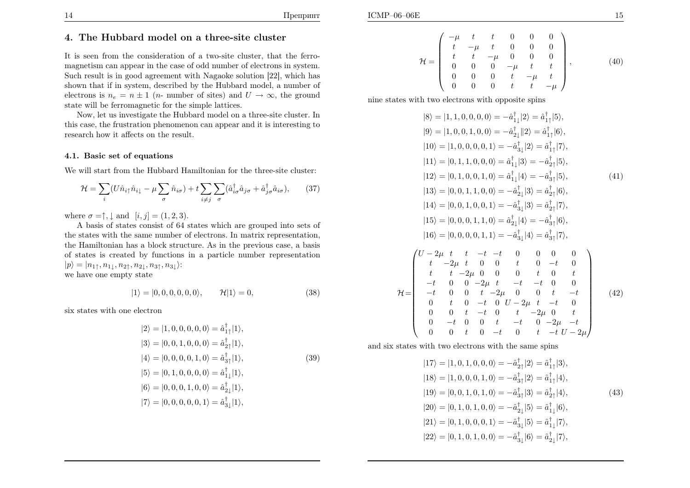$\mathcal H$ 

It is seen from the consideration of <sup>a</sup> two-site cluster, that the ferromagnetism can appear in the case of odd number of electrons in system. Such result is in good agreement with Nagaoke solution [22], which has shown that if in system, described by the Hubbard model, <sup>a</sup> number of electrons is  $n_e = n \pm 1$  (*n*- number of sites) and  $U \to \infty$ , the ground state will be ferromagnetic for the simple lattices.

Now, let us investigate the Hubbard model on <sup>a</sup> three-site cluster. In this case, the frustration <sup>p</sup>henomenon can appear and it is interesting to research how it affects on the result.

### 4.1. Basic set of equations

We will start from the Hubbard Hamiltonian for the three-site cluster:

$$
\mathcal{H} = \sum_{i} (U\hat{n}_{i\uparrow}\hat{n}_{i\downarrow} - \mu \sum_{\sigma} \hat{n}_{i\sigma}) + t \sum_{i \neq j} \sum_{\sigma} (\hat{a}_{i\sigma}^{\dagger} \hat{a}_{j\sigma} + \hat{a}_{j\sigma}^{\dagger} \hat{a}_{i\sigma}), \qquad (37)
$$

where  $\sigma = \uparrow, \downarrow$  and  $[i, j] = (1, 2, 3)$ .

 A basis of states consist of <sup>64</sup> states which are grouped into sets of the states with the same number of electrons. In matrix representation, the Hamiltonian has <sup>a</sup> block structure. As in the previous case, <sup>a</sup> basis of states is created by functions in <sup>a</sup> particle number representation $|p\rangle = |n_{1\uparrow}, n_{1\downarrow}, n_{2\uparrow}, n_{2\downarrow}, n_{3\uparrow}, n_{3\downarrow}\rangle:$ we have one empty state

$$
|1\rangle = |0, 0, 0, 0, 0, 0\rangle, \qquad \mathcal{H}|1\rangle = 0,\tag{38}
$$

six states with one electron

$$
|2\rangle = |1, 0, 0, 0, 0, 0\rangle = \hat{a}_{1\uparrow}^{\dagger}|1\rangle,
$$
  
\n
$$
|3\rangle = |0, 0, 1, 0, 0, 0\rangle = \hat{a}_{2\uparrow}^{\dagger}|1\rangle,
$$
  
\n
$$
|4\rangle = |0, 0, 0, 0, 1, 0\rangle = \hat{a}_{3\uparrow}^{\dagger}|1\rangle,
$$
  
\n
$$
|5\rangle = |0, 1, 0, 0, 0, 0\rangle = \hat{a}_{1\downarrow}^{\dagger}|1\rangle,
$$
  
\n
$$
|6\rangle = |0, 0, 0, 1, 0, 0\rangle = \hat{a}_{2\downarrow}^{\dagger}|1\rangle,
$$
  
\n
$$
|7\rangle = |0, 0, 0, 0, 0, 1\rangle = \hat{a}_{3\downarrow}^{\dagger}|1\rangle,
$$

$$
\mathcal{H} = \begin{pmatrix}\n-\mu & t & t & 0 & 0 & 0 \\
t & -\mu & t & 0 & 0 & 0 \\
t & t & -\mu & 0 & 0 & 0 \\
0 & 0 & 0 & -\mu & t & t \\
0 & 0 & 0 & t & -\mu & t \\
0 & 0 & 0 & t & t & -\mu\n\end{pmatrix},
$$
\n(40)

nine states with two electrons with opposite spins

$$
|8\rangle = |1, 1, 0, 0, 0, 0\rangle = -\hat{a}_{1\downarrow}^{\dagger}|2\rangle = \hat{a}_{1\uparrow}^{\dagger}|5\rangle,
$$
  
\n
$$
|9\rangle = |1, 0, 0, 1, 0, 0\rangle = -\hat{a}_{2\downarrow}^{\dagger}|2\rangle = \hat{a}_{1\uparrow}^{\dagger}|6\rangle,
$$
  
\n
$$
|10\rangle = |1, 0, 0, 0, 0, 1\rangle = -\hat{a}_{3\downarrow}^{\dagger}|2\rangle = \hat{a}_{1\uparrow}^{\dagger}|7\rangle,
$$
  
\n
$$
|11\rangle = |0, 1, 1, 0, 0, 0\rangle = \hat{a}_{1\downarrow}^{\dagger}|3\rangle = -\hat{a}_{2\uparrow}^{\dagger}|5\rangle,
$$
  
\n
$$
|12\rangle = |0, 1, 0, 0, 1, 0\rangle = \hat{a}_{1\downarrow}^{\dagger}|4\rangle = -\hat{a}_{3\uparrow}^{\dagger}|5\rangle,
$$
  
\n
$$
|13\rangle = |0, 0, 1, 1, 0, 0\rangle = -\hat{a}_{2\downarrow}^{\dagger}|3\rangle = \hat{a}_{2\uparrow}^{\dagger}|6\rangle,
$$
  
\n
$$
|14\rangle = |0, 0, 1, 0, 0, 1\rangle = -\hat{a}_{3\downarrow}^{\dagger}|3\rangle = \hat{a}_{2\uparrow}^{\dagger}|7\rangle,
$$
  
\n
$$
|15\rangle = |0, 0, 0, 1, 1, 0\rangle = \hat{a}_{2\downarrow}^{\dagger}|4\rangle = -\hat{a}_{3\uparrow}^{\dagger}|6\rangle,
$$
  
\n
$$
|16\rangle = |0, 0, 0, 0, 1, 1\rangle = -\hat{a}_{3\downarrow}^{\dagger}|4\rangle = \hat{a}_{3\uparrow}^{\dagger}|7\rangle,
$$
  
\n
$$
\begin{pmatrix} U - 2\mu & t & t & -t & 0 & 0 & 0 & 0 \\ t & -2\mu & 0 & 0 & t & 0 & -t & 0 \\ t & t & -2\mu & 0 & 0 & t & 0 & t &
$$

and six states with two electrons with the same spins

$$
|17\rangle = |1, 0, 1, 0, 0, 0\rangle = -\hat{a}_{2\uparrow}^{\dagger}|2\rangle = \hat{a}_{1\uparrow}^{\dagger}|3\rangle,
$$
  
\n
$$
|18\rangle = |1, 0, 0, 0, 1, 0\rangle = -\hat{a}_{3\uparrow}^{\dagger}|2\rangle = \hat{a}_{1\uparrow}^{\dagger}|4\rangle,
$$
  
\n
$$
|19\rangle = |0, 0, 1, 0, 1, 0\rangle = -\hat{a}_{3\uparrow}^{\dagger}|3\rangle = \hat{a}_{2\uparrow}^{\dagger}|4\rangle,
$$
  
\n
$$
|20\rangle = |0, 1, 0, 1, 0, 0\rangle = -\hat{a}_{2\downarrow}^{\dagger}|5\rangle = \hat{a}_{1\downarrow}^{\dagger}|6\rangle,
$$
  
\n
$$
|21\rangle = |0, 1, 0, 0, 0, 1\rangle = -\hat{a}_{3\downarrow}^{\dagger}|5\rangle = \hat{a}_{1\downarrow}^{\dagger}|7\rangle,
$$
  
\n
$$
|22\rangle = |0, 1, 0, 1, 0, 0\rangle = -\hat{a}_{3\downarrow}^{\dagger}|6\rangle = \hat{a}_{2\downarrow}^{\dagger}|7\rangle,
$$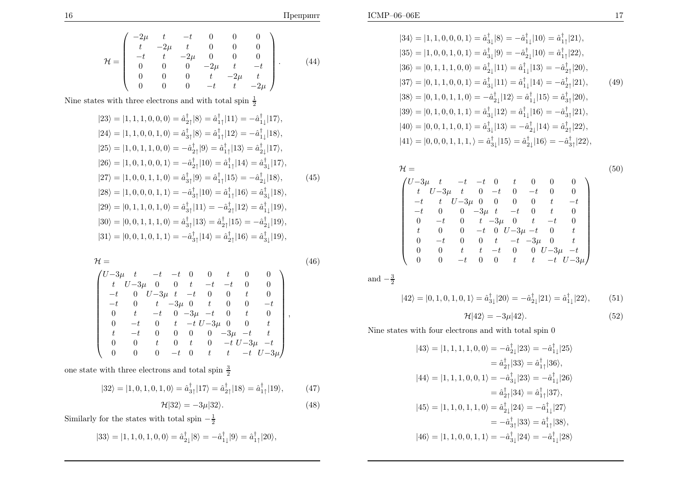$$
|34\rangle = |1, 1, 0, 0, 0, 1\rangle = \hat{a}_{3\downarrow}^{\dagger} |8\rangle = -\hat{a}_{1\downarrow}^{\dagger} |10\rangle = \hat{a}_{1\uparrow}^{\dagger} |21\rangle,
$$
  
\n
$$
|35\rangle = |1, 0, 0, 1, 0, 1\rangle = \hat{a}_{3\downarrow}^{\dagger} |9\rangle = -\hat{a}_{2\downarrow}^{\dagger} |10\rangle = \hat{a}_{1\uparrow}^{\dagger} |22\rangle,
$$
  
\n
$$
|36\rangle = |0, 1, 1, 1, 0, 0\rangle = \hat{a}_{2\downarrow}^{\dagger} |11\rangle = \hat{a}_{1\downarrow}^{\dagger} |13\rangle = -\hat{a}_{2\uparrow}^{\dagger} |20\rangle,
$$
  
\n
$$
|37\rangle = |0, 1, 1, 0, 0, 1\rangle = \hat{a}_{3\downarrow}^{\dagger} |11\rangle = \hat{a}_{1\downarrow}^{\dagger} |14\rangle = -\hat{a}_{2\uparrow}^{\dagger} |21\rangle,
$$
  
\n
$$
|38\rangle = |0, 1, 0, 1, 1, 0\rangle = -\hat{a}_{2\downarrow}^{\dagger} |12\rangle = \hat{a}_{1\downarrow}^{\dagger} |15\rangle = \hat{a}_{3\uparrow}^{\dagger} |20\rangle,
$$
  
\n
$$
|39\rangle = |0, 1, 0, 0, 1, 1\rangle = \hat{a}_{3\downarrow}^{\dagger} |12\rangle = \hat{a}_{1\downarrow}^{\dagger} |16\rangle = -\hat{a}_{3\uparrow}^{\dagger} |21\rangle,
$$
  
\n
$$
|40\rangle = |0, 0, 1, 1, 0, 1\rangle = \hat{a}_{3\downarrow}^{\dagger} |13\rangle = -\hat{a}_{2\downarrow}^{\dagger} |14\rangle = \hat{a}_{2\uparrow}^{\dagger} |22\rangle,
$$
  
\n
$$
|41\rangle = |0, 0, 0, 1, 1, 1\rangle = \hat{a}_{3\downarrow}^{\dagger} |15\rangle = \hat{a}_{2\
$$

$$
\mathcal{H} = \n\begin{pmatrix}\nU-3\mu & t & -t & -t & 0 & t & 0 & 0 & 0 \\
t & U-3\mu & t & 0 & -t & 0 & -t & 0 & 0 \\
-t & t & U-3\mu & 0 & 0 & 0 & 0 & t & -t \\
-t & 0 & 0 & -3\mu & t & -t & 0 & t & 0 \\
0 & -t & 0 & t & -3\mu & 0 & t & -t & 0 \\
t & 0 & 0 & -t & 0 & U-3\mu-t & 0 & t \\
0 & -t & 0 & 0 & t & -t & -3\mu & 0 & t \\
0 & 0 & t & t & -t & 0 & 0 & U-3\mu & -t \\
0 & 0 & -t & 0 & 0 & t & t & -t & U-3\mu\n\end{pmatrix}
$$
\n(50)

$$
|42\rangle = |0, 1, 0, 1, 0, 1\rangle = \hat{a}_{3\downarrow}^{\dagger} |20\rangle = -\hat{a}_{2\downarrow}^{\dagger} |21\rangle = \hat{a}_{1\downarrow}^{\dagger} |22\rangle, \tag{51}
$$

$$
\mathcal{H}|42\rangle = -3\mu|42\rangle. \tag{52}
$$

Nine states with four electrons and with total spin <sup>0</sup>

$$
|43\rangle = |1, 1, 1, 1, 0, 0\rangle = -\hat{a}_{2\downarrow}^{\dagger} |23\rangle = -\hat{a}_{1\downarrow}^{\dagger} |25\rangle
$$
  
\n
$$
= \hat{a}_{2\uparrow}^{\dagger} |33\rangle = \hat{a}_{1\uparrow}^{\dagger} |36\rangle,
$$
  
\n
$$
|44\rangle = |1, 1, 1, 0, 0, 1\rangle = -\hat{a}_{3\downarrow}^{\dagger} |23\rangle = -\hat{a}_{1\downarrow}^{\dagger} |26\rangle
$$
  
\n
$$
= \hat{a}_{2\uparrow}^{\dagger} |34\rangle = \hat{a}_{1\uparrow}^{\dagger} |37\rangle,
$$
  
\n
$$
|45\rangle = |1, 1, 0, 1, 1, 0\rangle = \hat{a}_{2\downarrow}^{\dagger} |24\rangle = -\hat{a}_{1\downarrow}^{\dagger} |27\rangle
$$
  
\n
$$
= -\hat{a}_{3\uparrow}^{\dagger} |33\rangle = \hat{a}_{1\uparrow}^{\dagger} |38\rangle,
$$
  
\n
$$
|46\rangle = |1, 1, 0, 0, 1, 1\rangle = -\hat{a}_{3\downarrow}^{\dagger} |24\rangle = -\hat{a}_{1\downarrow}^{\dagger} |28\rangle
$$

H $\left( \begin{array}{cccc} -2\mu & t & -t & 0 & 0 & 0 \ t & -2\mu & t & 0 & 0 & 0 \ -t & t & -2\mu & 0 & 0 & 0 \end{array} \right)$  $\overline{\mathcal{L}}$  $\begin{array}{ccccccccc}\n0 & 0 & 0 & -2\mu & t & -t \\
0 & 0 & 0 & t & -2\mu & t\n\end{array}$ 0 0 0  $-t$  t  $-2\mu$  $\setminus$  $\left( \frac{1}{2} \right)$ (44)

Nine states with three electrons and with total spin  $\frac{1}{2}$ 

$$
|23\rangle = |1, 1, 1, 0, 0, 0\rangle = \hat{a}_{2\uparrow}^{\dagger} |8\rangle = \hat{a}_{1\uparrow}^{\dagger} |11\rangle = -\hat{a}_{1\downarrow}^{\dagger} |17\rangle,
$$
  
\n
$$
|24\rangle = |1, 1, 0, 0, 1, 0\rangle = \hat{a}_{3\uparrow}^{\dagger} |8\rangle = \hat{a}_{1\uparrow}^{\dagger} |12\rangle = -\hat{a}_{1\downarrow}^{\dagger} |18\rangle,
$$
  
\n
$$
|25\rangle = |1, 0, 1, 1, 0, 0\rangle = -\hat{a}_{2\uparrow}^{\dagger} |9\rangle = \hat{a}_{1\uparrow}^{\dagger} |13\rangle = \hat{a}_{2\downarrow}^{\dagger} |17\rangle,
$$
  
\n
$$
|26\rangle = |1, 0, 1, 0, 0, 1\rangle = -\hat{a}_{2\uparrow}^{\dagger} |10\rangle = \hat{a}_{1\uparrow}^{\dagger} |14\rangle = \hat{a}_{3\downarrow}^{\dagger} |17\rangle,
$$
  
\n
$$
|27\rangle = |1, 0, 0, 1, 1, 0\rangle = \hat{a}_{3\uparrow}^{\dagger} |9\rangle = \hat{a}_{1\uparrow}^{\dagger} |15\rangle = -\hat{a}_{2\downarrow}^{\dagger} |18\rangle,
$$
  
\n
$$
|28\rangle = |1, 0, 0, 0, 1, 1\rangle = -\hat{a}_{3\uparrow}^{\dagger} |10\rangle = \hat{a}_{1\uparrow}^{\dagger} |16\rangle = \hat{a}_{3\downarrow}^{\dagger} |18\rangle,
$$
  
\n
$$
|29\rangle = |0, 1, 1, 0, 1, 0\rangle = \hat{a}_{3\uparrow}^{\dagger} |11\rangle = -\hat{a}_{2\uparrow}^{\dagger} |12\rangle = \hat{a}_{1\downarrow}^{\dagger} |19\rangle,
$$
  
\n
$$
|30\rangle = |0, 0, 1, 1, 1, 0\rangle = \hat{a}_{3\uparrow}^{\dagger} |13\rangle = \hat{a}_{2\uparrow
$$

$$
\mathcal{H} = \tag{46}
$$
\n
$$
\begin{pmatrix}\nU-3\mu & t & -t & -t & 0 & 0 & t & 0 & 0 \\
t & U-3\mu & 0 & 0 & t & -t & -t & 0 & 0 \\
-t & 0 & U-3\mu & t & -t & 0 & 0 & t & 0 \\
-t & 0 & t & -3\mu & 0 & t & 0 & 0 & -t \\
0 & t & -t & 0 & -3\mu & -t & 0 & t & 0 \\
0 & -t & 0 & t & -t & U-3\mu & 0 & 0 & t \\
t & -t & 0 & 0 & 0 & 0 & -3\mu & -t & t \\
0 & 0 & t & 0 & t & 0 & -t & U-3\mu & -t \\
0 & 0 & 0 & -t & 0 & t & t & -t & U-3\mu\n\end{pmatrix}
$$
\n
$$
(46)
$$

one state with three electrons and total spin  $\frac{3}{2}$ 

$$
|32\rangle = |1, 0, 1, 0, 1, 0\rangle = \hat{a}_{3\uparrow}^{\dagger}|17\rangle = \hat{a}_{2\uparrow}^{\dagger}|18\rangle = \hat{a}_{1\uparrow}^{\dagger}|19\rangle, \tag{47}
$$

$$
\mathcal{H}|32\rangle = -3\mu|32\rangle. \tag{48}
$$

Similarly for the states with total spin  $-\frac{1}{2}$ 

$$
|33\rangle = |1, 1, 0, 1, 0, 0\rangle = \hat{a}_{2\downarrow}^{\dagger}|8\rangle = -\hat{a}_{1\downarrow}^{\dagger}|9\rangle = \hat{a}_{1\uparrow}^{\dagger}|20\rangle,
$$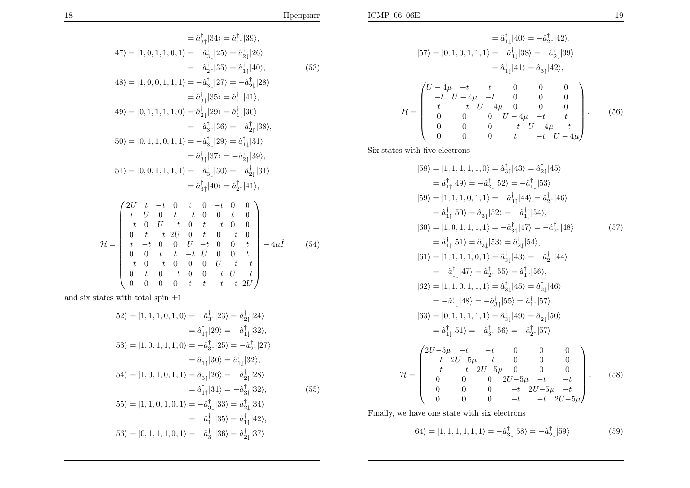(53)

$$
= \hat{a}_{1\downarrow}^{\dagger} |40\rangle = -\hat{a}_{2\uparrow}^{\dagger} |42\rangle,
$$
  
\n
$$
|57\rangle = |0, 1, 0, 1, 1, 1\rangle = -\hat{a}_{3\downarrow}^{\dagger} |38\rangle = -\hat{a}_{2\downarrow}^{\dagger} |39\rangle
$$
  
\n
$$
= \hat{a}_{1\downarrow}^{\dagger} |41\rangle = \hat{a}_{3\uparrow}^{\dagger} |42\rangle,
$$
  
\n
$$
\mathcal{H} = \begin{pmatrix} U - 4\mu & -t & t & 0 & 0 & 0 \\ -t & U - 4\mu & -t & 0 & 0 & 0 \\ t & -t & U - 4\mu & 0 & 0 & 0 \\ 0 & 0 & 0 & U - 4\mu & -t & t \\ 0 & 0 & 0 & -t & U - 4\mu & -t \\ 0 & 0 & 0 & t & -t & U - 4\mu \end{pmatrix}.
$$
 (56)

Six states with five electrons

$$
|58\rangle = |1, 1, 1, 1, 1, 0\rangle = \hat{a}_{3\uparrow}^{\dagger} |43\rangle = \hat{a}_{2\uparrow}^{\dagger} |45\rangle
$$
  
\n
$$
= \hat{a}_{1\uparrow}^{\dagger} |49\rangle = -\hat{a}_{2\downarrow}^{\dagger} |52\rangle = -\hat{a}_{1\downarrow}^{\dagger} |53\rangle,
$$
  
\n
$$
|59\rangle = |1, 1, 1, 0, 1, 1\rangle = -\hat{a}_{3\uparrow}^{\dagger} |44\rangle = \hat{a}_{2\uparrow}^{\dagger} |46\rangle
$$
  
\n
$$
= \hat{a}_{1\uparrow}^{\dagger} |50\rangle = \hat{a}_{3\downarrow}^{\dagger} |52\rangle = -\hat{a}_{1\downarrow}^{\dagger} |54\rangle,
$$
  
\n
$$
|60\rangle = |1, 0, 1, 1, 1, 1\rangle = -\hat{a}_{3\uparrow}^{\dagger} |47\rangle = -\hat{a}_{2\uparrow}^{\dagger} |48\rangle
$$
  
\n
$$
= \hat{a}_{1\uparrow}^{\dagger} |51\rangle = \hat{a}_{3\downarrow}^{\dagger} |53\rangle = \hat{a}_{2\downarrow}^{\dagger} |54\rangle,
$$
  
\n
$$
|61\rangle = |1, 1, 1, 1, 0, 1\rangle = \hat{a}_{3\downarrow}^{\dagger} |43\rangle = -\hat{a}_{2\downarrow}^{\dagger} |44\rangle
$$
  
\n
$$
= -\hat{a}_{1\downarrow}^{\dagger} |47\rangle = \hat{a}_{2\uparrow}^{\dagger} |55\rangle = \hat{a}_{1\uparrow}^{\dagger} |56\rangle,
$$
  
\n
$$
|62\rangle = |1, 1, 0, 1, 1, 1\rangle = \hat{a}_{3\downarrow}^{\dagger} |45\rangle = \hat{a}_{2\downarrow}^{\dagger} |46\rangle
$$
  
\n
$$
= -\hat{a}_{1\downarrow}^{\dagger} |48\rangle = -\hat{a}_{3\uparrow}^{\dagger} |55\rangle = \hat{a}_{1\uparrow}^
$$

Finally, we have one state with six electrons

$$
|64\rangle = |1, 1, 1, 1, 1, 1\rangle = -\hat{a}_{3\downarrow}^{\dagger}|58\rangle = -\hat{a}_{2\downarrow}^{\dagger}|59\rangle \tag{59}
$$

$$
= \hat{a}_{3\uparrow}^{\dagger}|34\rangle = \hat{a}_{1\uparrow}^{\dagger}|39\rangle,
$$
  
\n
$$
|47\rangle = |1, 0, 1, 1, 0, 1\rangle = -\hat{a}_{3\downarrow}^{\dagger}|25\rangle = \hat{a}_{2\downarrow}^{\dagger}|26\rangle
$$
  
\n
$$
= -\hat{a}_{2\uparrow}^{\dagger}|35\rangle = \hat{a}_{1\uparrow}^{\dagger}|40\rangle,
$$
  
\n
$$
|48\rangle = |1, 0, 0, 1, 1, 1\rangle = -\hat{a}_{3\downarrow}^{\dagger}|27\rangle = -\hat{a}_{2\downarrow}^{\dagger}|28\rangle
$$
  
\n
$$
= \hat{a}_{3\uparrow}^{\dagger}|35\rangle = \hat{a}_{1\uparrow}^{\dagger}|41\rangle,
$$
  
\n
$$
|49\rangle = |0, 1, 1, 1, 1, 0\rangle = \hat{a}_{2\downarrow}^{\dagger}|29\rangle = \hat{a}_{1\downarrow}^{\dagger}|30\rangle
$$
  
\n
$$
= -\hat{a}_{3\uparrow}^{\dagger}|36\rangle = -\hat{a}_{2\uparrow}^{\dagger}|38\rangle,
$$
  
\n
$$
|50\rangle = |0, 1, 1, 0, 1, 1\rangle = -\hat{a}_{3\downarrow}^{\dagger}|29\rangle = \hat{a}_{1\downarrow}^{\dagger}|31\rangle
$$
  
\n
$$
= \hat{a}_{3\uparrow}^{\dagger}|37\rangle = -\hat{a}_{2\uparrow}^{\dagger}|39\rangle,
$$
  
\n
$$
|51\rangle = |0, 0, 1, 1, 1, 1\rangle = -\hat{a}_{3\downarrow}^{\dagger}|30\rangle = -\hat{a}_{2\downarrow}^{\dagger}|31\rangle
$$
  
\n
$$
= \hat{a}_{3\uparrow}^{\dagger}|40\rangle = \hat{a}_{2\uparrow}^{\dagger}|41\rangle,
$$

$$
\mathcal{H} = \begin{pmatrix}\n2U & t & -t & 0 & t & 0 & -t & 0 & 0 \\
t & U & 0 & t & -t & 0 & 0 & t & 0 \\
-t & 0 & U & -t & 0 & t & -t & 0 & 0 \\
0 & t & -t & 2U & 0 & t & 0 & -t & 0 \\
t & -t & 0 & 0 & U & -t & 0 & 0 & t \\
0 & 0 & t & t & -t & U & 0 & 0 & t \\
-t & 0 & -t & 0 & 0 & 0 & U & -t & -t \\
0 & t & 0 & -t & 0 & 0 & -t & U & -t \\
0 & 0 & 0 & 0 & t & t & -t & -t & 2U\n\end{pmatrix}
$$
\n(54)

and six states with total spin  $\pm 1$ 

$$
|52\rangle = |1, 1, 1, 0, 1, 0\rangle = -\hat{a}_{3\uparrow}^{\dagger}|23\rangle = \hat{a}_{2\uparrow}^{\dagger}|24\rangle
$$
  
\n
$$
= \hat{a}_{1\uparrow}^{\dagger}|29\rangle = -\hat{a}_{1\downarrow}^{\dagger}|32\rangle,
$$
  
\n
$$
|53\rangle = |1, 0, 1, 1, 1, 0\rangle = -\hat{a}_{3\uparrow}^{\dagger}|25\rangle = -\hat{a}_{2\uparrow}^{\dagger}|27\rangle
$$
  
\n
$$
= \hat{a}_{1\uparrow}^{\dagger}|30\rangle = \hat{a}_{1\downarrow}^{\dagger}|32\rangle,
$$
  
\n
$$
|54\rangle = |1, 0, 1, 0, 1, 1\rangle = \hat{a}_{3\uparrow}^{\dagger}|26\rangle = -\hat{a}_{2\uparrow}^{\dagger}|28\rangle
$$
  
\n
$$
= \hat{a}_{1\uparrow}^{\dagger}|31\rangle = -\hat{a}_{3\downarrow}^{\dagger}|32\rangle,
$$
  
\n
$$
|55\rangle = |1, 1, 0, 1, 0, 1\rangle = -\hat{a}_{3\downarrow}^{\dagger}|33\rangle = \hat{a}_{2\downarrow}^{\dagger}|34\rangle
$$
  
\n
$$
= -\hat{a}_{1\downarrow}^{\dagger}|35\rangle = \hat{a}_{1\uparrow}^{\dagger}|42\rangle,
$$
  
\n
$$
|56\rangle = |0, 1, 1, 1, 0, 1\rangle = -\hat{a}_{3\downarrow}^{\dagger}|36\rangle = \hat{a}_{2\downarrow}^{\dagger}|37\rangle
$$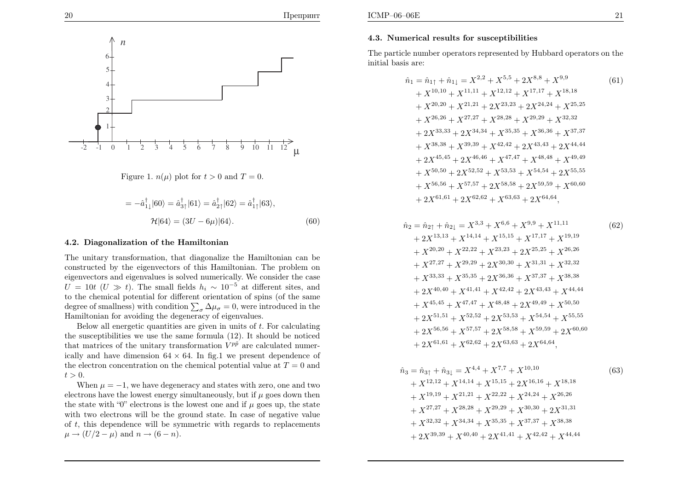

# Figure 1.  $n(\mu)$  plot for  $t > 0$  and  $T = 0$ .

$$
= -\hat{a}_{1\downarrow}^{\dagger}|60\rangle = \hat{a}_{3\uparrow}^{\dagger}|61\rangle = \hat{a}_{2\uparrow}^{\dagger}|62\rangle = \hat{a}_{1\uparrow}^{\dagger}|63\rangle,
$$
  

$$
\mathcal{H}|64\rangle = (3U - 6\mu)|64\rangle.
$$
 (60)

### 4.2. Diagonalization of the Hamiltonian

The unitary transformation, that diagonalize the Hamiltonian can be constructed by the eigenvectors of this Hamiltonian. The problem on eigenvectors and eigenvalues is solved numerically. We consider the case  $U = 10t$  ( $U \gg t$ ). The small fields  $h_i \sim 10^{-5}$  at different sites, and to the chamical potential for different orientation of spins (of the same to the chemical potential for different orientation of spins (of the same degree of smallness) with condition  $\sum_{\sigma} \Delta \mu_{\sigma} = 0$ , were introduced in the Hamiltonian for avoiding the degeneracy of eigenvalues.

Below all energetic quantities are <sup>g</sup>iven in units of <sup>t</sup>. For calculating the susceptibilities we use the same formula  $(12)$ . It should be noticed that matrices of the unitary transformation  $V^{p\tilde{p}}$  are calculated numerically and have dimension  $64 \times 64$ . In fig.1 we present dependence of the electron concentration on the chemical potential value at  $T=0$  and  $t > 0.$ 

When  $\mu=-1$ , we have degeneracy and states with zero, one and two electrons have the lowest energy simultaneously, but if  $\mu$  goes down then the state with "0" electrons is the lowest one and if  $\mu$  goes up, the state with two electrons will be the ground state. In case of negative value of <sup>t</sup>, this dependence will be symmetric with regards to replacements  $\mu \rightarrow (U/2 - \mu)$  and  $n \rightarrow (6 - n)$ .

The particle number operators represented by Hubbard operators on the initial basis are:

$$
\hat{n}_1 = \hat{n}_{1\uparrow} + \hat{n}_{1\downarrow} = X^{2,2} + X^{5,5} + 2X^{8,8} + X^{9,9} \tag{61}
$$
\n
$$
+ X^{10,10} + X^{11,11} + X^{12,12} + X^{17,17} + X^{18,18}
$$
\n
$$
+ X^{20,20} + X^{21,21} + 2X^{23,23} + 2X^{24,24} + X^{25,25}
$$
\n
$$
+ X^{26,26} + X^{27,27} + X^{28,28} + X^{29,29} + X^{32,32}
$$
\n
$$
+ 2X^{33,33} + 2X^{34,34} + X^{35,35} + X^{36,36} + X^{37,37}
$$
\n
$$
+ X^{38,38} + X^{39,39} + X^{42,42} + 2X^{43,43} + 2X^{44,44}
$$
\n
$$
+ 2X^{45,45} + 2X^{46,46} + X^{47,47} + X^{48,48} + X^{49,49}
$$
\n
$$
+ X^{50,50} + 2X^{52,52} + X^{53,53} + X^{54,54} + 2X^{55,55}
$$
\n
$$
+ X^{56,56} + X^{57,57} + 2X^{58,58} + 2X^{59,59} + X^{60,60}
$$
\n
$$
+ 2X^{61,61} + 2X^{62,62} + X^{63,63} + 2X^{64,64},
$$
\n(8)

$$
\hat{n}_2 = \hat{n}_{2\uparrow} + \hat{n}_{2\downarrow} = X^{3,3} + X^{6,6} + X^{9,9} + X^{11,11} \tag{62}
$$
\n
$$
+ 2X^{13,13} + X^{14,14} + X^{15,15} + X^{17,17} + X^{19,19}
$$
\n
$$
+ X^{20,20} + X^{22,22} + X^{23,23} + 2X^{25,25} + X^{26,26}
$$
\n
$$
+ X^{27,27} + X^{29,29} + 2X^{30,30} + X^{31,31} + X^{32,32}
$$
\n
$$
+ X^{33,33} + X^{35,35} + 2X^{36,36} + X^{37,37} + X^{38,38}
$$
\n
$$
+ 2X^{40,40} + X^{41,41} + X^{42,42} + 2X^{43,43} + X^{44,44}
$$
\n
$$
+ X^{45,45} + X^{47,47} + X^{48,48} + 2X^{49,49} + X^{50,50}
$$
\n
$$
+ 2X^{51,51} + X^{52,52} + 2X^{53,53} + X^{54,54} + X^{55,55}
$$
\n
$$
+ 2X^{56,56} + X^{57,57} + 2X^{58,58} + X^{59,59} + 2X^{60,60}
$$
\n
$$
+ 2X^{61,61} + X^{62,62} + 2X^{63,63} + 2X^{64,64},
$$
\n(81)

$$
\hat{n}_3 = \hat{n}_{3\uparrow} + \hat{n}_{3\downarrow} = X^{4,4} + X^{7,7} + X^{10,10}
$$
\n
$$
+ X^{12,12} + X^{14,14} + X^{15,15} + 2X^{16,16} + X^{18,18}
$$
\n
$$
+ X^{19,19} + X^{21,21} + X^{22,22} + X^{24,24} + X^{26,26}
$$
\n
$$
+ X^{27,27} + X^{28,28} + X^{29,29} + X^{30,30} + 2X^{31,31}
$$
\n
$$
+ X^{32,32} + X^{34,34} + X^{35,35} + X^{37,37} + X^{38,38}
$$
\n
$$
+ 2X^{39,39} + X^{40,40} + 2X^{41,41} + X^{42,42} + X^{44,44}
$$
\n(63)

$$
(62)
$$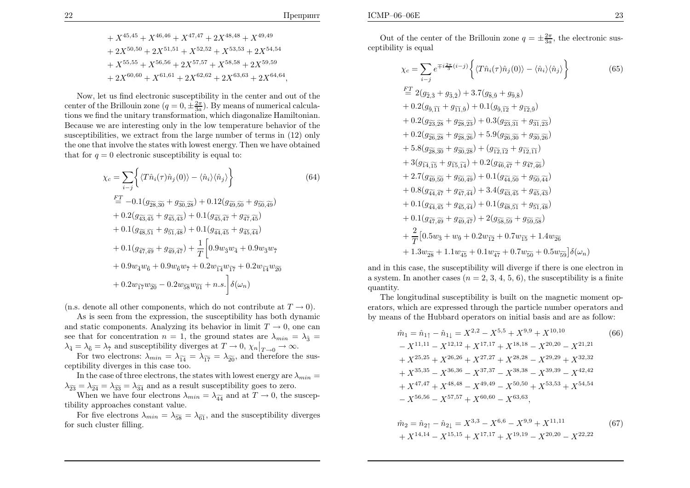$$
+ X^{45,45} + X^{46,46} + X^{47,47} + 2X^{48,48} + X^{49,49} + 2X^{50,50} + 2X^{51,51} + X^{52,52} + X^{53,53} + 2X^{54,54} + X^{55,55} + X^{56,56} + 2X^{57,57} + X^{58,58} + 2X^{59,59} + 2X^{60,60} + X^{61,61} + 2X^{62,62} + 2X^{63,63} + 2X^{64,64},
$$

Now, let us find electronic susceptibility in the center and out of the center of the Brillouin zone  $(q = 0, \pm \frac{2\pi}{3a})$ . By means of numerical calculations we find the unitary transformation, which diagonalize Hamiltonian. Because we are interesting only in the low temperature behavior of the susceptibilities, we extract from the large number of terms in (12) only the one that involve the states with lowest energy. Then we have obtainedthat for  $q = 0$  electronic susceptibility is equal to:

$$
\chi_{c} = \sum_{i-j} \left\{ \langle T\hat{n}_{i}(\tau)\hat{n}_{j}(0) \rangle - \langle \hat{n}_{i} \rangle \langle \hat{n}_{j} \rangle \right\}
$$
(64)  
\n
$$
\stackrel{FT}{=} -0.1(g_{\overline{28},\overline{30}} + g_{\overline{30},\overline{28}}) + 0.12(g_{\overline{49},\overline{50}} + g_{\overline{50},\overline{49}}) + 0.2(g_{\overline{43},\overline{45}} + g_{\overline{45},\overline{43}}) + 0.1(g_{\overline{45},\overline{47}} + g_{\overline{47},\overline{45}}) + 0.1(g_{\overline{48},\overline{51}} + g_{\overline{51},\overline{48}}) + 0.1(g_{\overline{44},\overline{45}} + g_{\overline{45},\overline{44}}) + 0.1(g_{\overline{47},\overline{49}} + g_{\overline{49},\overline{47}}) + \frac{1}{T} \left[ 0.9w_{\overline{3}}w_{\overline{4}} + 0.9w_{\overline{3}}w_{\overline{7}} + 0.2w_{\overline{14}}w_{\overline{20}} + 0.9w_{\overline{4}}w_{\overline{6}} + 0.9w_{\overline{6}}w_{\overline{7}} + 0.2w_{\overline{14}}w_{\overline{17}} + 0.2w_{\overline{14}}w_{\overline{20}} + 0.2w_{\overline{17}}w_{\overline{20}} - 0.2w_{\overline{58}}w_{\overline{61}} + n.s. \right] \delta(\omega_{n})
$$
(64)

(n.s. denote all other components, which do not contribute at  $T \to 0$ ).<br>As is seen from the expression, the susceptibility has both dynam

 As is seen from the expression, the susceptibility has both dynamic and static components. Analyzing its behavior in limit  $T \to 0$ , one can<br>see that for concentration  $n-1$  the ground states are  $\lambda = -\lambda z$ . see that for concentration  $n = 1$ , the ground states are  $\lambda_{min} = \lambda_{\tilde{3}} =$  $\lambda_{\tilde{4}} = \lambda_{\tilde{6}} = \lambda_{\tilde{7}}$  and susceptibility diverges at  $T \to 0$ ,  $\chi_n|_{T \to 0} \to \infty$ .<br>For two electrons:  $\lambda_{-1} = \lambda_{\tilde{6}} = \lambda_{\tilde{7}}$  and therefore the

For two electrons:  $\lambda_{min} = \lambda_{\widetilde{14}} = \lambda_{\widetilde{17}} = \lambda_{\widetilde{20}}$ , and therefore the sus-ceptibility diverges in this case too.

In the case of three electrons, the states with lowest energy are  $\lambda_{min}=$  $\lambda_{\widetilde{23}} = \lambda_{\widetilde{24}} = \lambda_{\widetilde{33}} = \lambda_{\widetilde{34}}$  and as a result susceptibility goes to zero.

When we have four electrons  $\lambda_{min} = \lambda_{\widetilde{44}}$  and at  $T \to 0$ , the suscep-<br>lity approaches constant value tibility approaches constant value.

For five electrons  $\lambda_{min} = \lambda_{\widetilde{58}} = \lambda_{\widetilde{61}}$ , and the susceptibility diverges for such cluster filling.

Out of the center of the Brillouin zone  $q = \pm \frac{2\pi}{3a}$ , the electronic susceptibility is equa<sup>l</sup>

$$
\chi_{c} = \sum_{i-j} e^{\mp i \frac{2\pi}{3} (i-j)} \left\{ \langle T\hat{n}_{i}(\tau)\hat{n}_{j}(0) \rangle - \langle \hat{n}_{i} \rangle \langle \hat{n}_{j} \rangle \right\}
$$
(65)  
\n
$$
\stackrel{FT}{=} 2(g_{\tilde{2},\tilde{3}} + g_{\tilde{3},\tilde{2}}) + 3.7(g_{\tilde{5},\tilde{9}} + g_{\tilde{9},\tilde{8}})
$$
  
\n
$$
+ 0.2(g_{\tilde{9},\tilde{1}\tilde{1}} + g_{\tilde{1}\tilde{1},\tilde{9}}) + 0.1(g_{\tilde{9},\tilde{1}\tilde{2}} + g_{\tilde{1}\tilde{2},\tilde{9}})
$$
  
\n
$$
+ 0.2(g_{\tilde{2}\tilde{3},\tilde{2}\tilde{8}} + g_{\tilde{2}\tilde{8},\tilde{2}\tilde{3}}) + 0.3(g_{\tilde{2}\tilde{3},\tilde{3}\tilde{1}} + g_{\tilde{3}\tilde{1},\tilde{2}\tilde{3}})
$$
  
\n
$$
+ 0.2(g_{\tilde{2}\tilde{6},\tilde{2}\tilde{8}} + g_{\tilde{2}\tilde{8},\tilde{2}\tilde{6}}) + 5.9(g_{\tilde{2}\tilde{6},\tilde{3}\tilde{0}} + g_{\tilde{3}\tilde{0},\tilde{2}\tilde{6}})
$$
  
\n
$$
+ 5.8(g_{\tilde{2}\tilde{8},\tilde{3}\tilde{0}} + g_{\tilde{3}\tilde{0},\tilde{2}\tilde{8}}) + (g_{\tilde{1}\tilde{2},\tilde{1}\tilde{2}} + g_{\tilde{1}\tilde{2},\tilde{1}\tilde{1}})
$$
  
\n
$$
+ 3(g_{\tilde{1}\tilde{4},\tilde{1}\tilde{5}} + g_{\tilde{1}\tilde{5},\tilde{1}\tilde{4}}) + 0.2(g_{\tilde{4}\tilde{6},\tilde{4}\tilde{7}} + g_{\tilde{4}\tilde{7},\tilde{4}\tilde{6}})
$$
  
\n
$$
+
$$

and in this case, the susceptibility will diverge if there is one electron ina system. In another cases  $(n = 2, 3, 4, 5, 6)$ , the susceptibility is a finite quantity.

The longitudinal susceptibility is built on the magnetic moment operators, which are expressed through the particle number operators andby means of the Hubbard operators on initial basis and are as follow:

$$
\hat{m}_1 = \hat{n}_{1\uparrow} - \hat{n}_{1\downarrow} = X^{2,2} - X^{5,5} + X^{9,9} + X^{10,10}
$$
\n
$$
- X^{11,11} - X^{12,12} + X^{17,17} + X^{18,18} - X^{20,20} - X^{21,21}
$$
\n
$$
+ X^{25,25} + X^{26,26} + X^{27,27} + X^{28,28} - X^{29,29} + X^{32,32}
$$
\n
$$
+ X^{35,35} - X^{36,36} - X^{37,37} - X^{38,38} - X^{39,39} - X^{42,42}
$$
\n
$$
+ X^{47,47} + X^{48,48} - X^{49,49} - X^{50,50} + X^{53,53} + X^{54,54}
$$
\n
$$
- X^{56,56} - X^{57,57} + X^{60,60} - X^{63,63},
$$
\n(66)

$$
\hat{m}_2 = \hat{n}_{2\uparrow} - \hat{n}_{2\downarrow} = X^{3,3} - X^{6,6} - X^{9,9} + X^{11,11} \tag{67}
$$
\n
$$
+ X^{14,14} - X^{15,15} + X^{17,17} + X^{19,19} - X^{20,20} - X^{22,22}
$$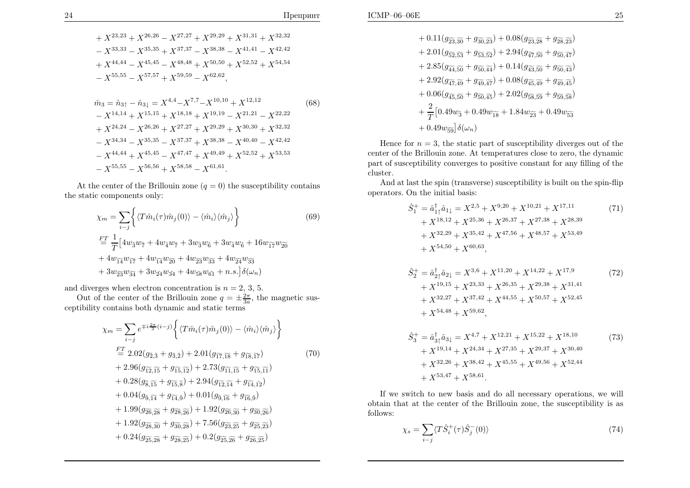$$
+ X^{23,23} + X^{26,26} - X^{27,27} + X^{29,29} + X^{31,31} + X^{32,32} - X^{33,33} - X^{35,35} + X^{37,37} - X^{38,38} - X^{41,41} - X^{42,42} + X^{44,44} - X^{45,45} - X^{48,48} + X^{50,50} + X^{52,52} + X^{54,54} - X^{55,55} - X^{57,57} + X^{59,59} - X^{62,62},
$$

$$
\hat{m}_3 = \hat{n}_{3\uparrow} - \hat{n}_{3\downarrow} = X^{4,4} - X^{7,7} - X^{10,10} + X^{12,12}
$$
\n
$$
- X^{14,14} + X^{15,15} + X^{18,18} + X^{19,19} - X^{21,21} - X^{22,22}
$$
\n
$$
+ X^{24,24} - X^{26,26} + X^{27,27} + X^{29,29} + X^{30,30} + X^{32,32}
$$
\n
$$
- X^{34,34} - X^{35,35} - X^{37,37} + X^{38,38} - X^{40,40} - X^{42,42}
$$
\n
$$
- X^{44,44} + X^{45,45} - X^{47,47} + X^{49,49} + X^{52,52} + X^{53,53}
$$
\n
$$
- X^{55,55} - X^{56,56} + X^{58,58} - X^{61,61}.
$$
\n(68)

At the center of the Brillouin zone  $(q = 0)$  the susceptibility contains the static components only:

$$
\chi_m = \sum_{i-j} \left\{ \langle T\hat{m}_i(\tau)\hat{m}_j(0) \rangle - \langle \hat{m}_i \rangle \langle \hat{m}_j \rangle \right\} \tag{69}
$$
\n
$$
\begin{aligned}\n&\stackrel{FT}{=} \frac{1}{T} \left[ 4w_3 w_{\tilde{\tau}} + 4w_4 w_{\tilde{\tau}} + 3w_3 w_{\tilde{6}} + 3w_4 w_{\tilde{6}} + 16w_{\tilde{1}\tilde{\tau}} w_{\tilde{2}\tilde{0}} \right. \\
&\quad + 4w_{\tilde{1}\tilde{4}} w_{\tilde{1}\tilde{\tau}} + 4w_{\tilde{1}\tilde{4}} w_{\tilde{2}\tilde{0}} + 4w_{\tilde{2}\tilde{3}} w_{\tilde{3}\tilde{3}} + 4w_{\tilde{2}\tilde{4}} w_{\tilde{3}\tilde{3}} \\
&\quad + 3w_{\tilde{2}\tilde{3}} w_{\tilde{3}\tilde{4}} + 3w_{\tilde{2}\tilde{4}} w_{\tilde{3}\tilde{4}} + 4w_{\tilde{5}\tilde{8}} w_{\tilde{6}\tilde{1}} + n.s. \left] \delta(\omega_n)\right.\n\end{aligned}
$$

and diverges when electron concentration is  $n = 2, 3, 5$ .

Out of the center of the Brillouin zone  $q = \pm \frac{2\pi}{3a}$ , the magnetic susceptibility contains both dynamic and static terms

$$
\chi_m = \sum_{i-j} e^{\mp i \frac{2\pi}{3} (i-j)} \left\{ \langle T\hat{m}_i(\tau)\hat{m}_j(0) \rangle - \langle \hat{m}_i \rangle \langle \hat{m}_j \rangle \right\}
$$
  
\n
$$
\stackrel{FT}{=} 2.02(g_{\tilde{2},\tilde{3}} + g_{\tilde{3},\tilde{2}}) + 2.01(g_{\tilde{17},\tilde{18}} + g_{\tilde{18},\tilde{17}})
$$
  
\n
$$
+ 2.96(g_{\tilde{12},\tilde{15}} + g_{\tilde{15},\tilde{12}}) + 2.73(g_{\tilde{11},\tilde{15}} + g_{\tilde{15},\tilde{11}})
$$
  
\n
$$
+ 0.28(g_{\tilde{3},\tilde{15}} + g_{\tilde{15},\tilde{8}}) + 2.94(g_{\tilde{12},\tilde{14}} + g_{\tilde{14},\tilde{12}})
$$
  
\n
$$
+ 0.04(g_{\tilde{3},\tilde{14}} + g_{\tilde{14},\tilde{9}}) + 0.01(g_{\tilde{3},\tilde{16}} + g_{\tilde{16},\tilde{9}})
$$
  
\n
$$
+ 1.99(g_{\tilde{26},\tilde{28}} + g_{\tilde{28},\tilde{26}}) + 1.92(g_{\tilde{26},\tilde{30}} + g_{\tilde{30},\tilde{26}})
$$
  
\n
$$
+ 1.92(g_{\tilde{28},\tilde{30}} + g_{\tilde{30},\tilde{28}}) + 7.56(g_{\tilde{23},\tilde{25}} + g_{\tilde{25},\tilde{25}})
$$
  
\n
$$
+ 0.24(g_{\tilde{25},\tilde{28}} + g_{\tilde{28},\tilde{25}}) + 0.2(g_{\tilde{25},\tilde{26}} + g_{\tilde{26},\tilde{25}})
$$

$$
+ 0.11(g_{\widetilde{23},\widetilde{30}} + g_{\widetilde{30},\widetilde{23}}) + 0.08(g_{\widetilde{23},\widetilde{28}} + g_{\widetilde{28},\widetilde{23}}) + 2.01(g_{\widetilde{52},\widetilde{53}} + g_{\widetilde{53},\widetilde{52}}) + 2.94(g_{\widetilde{47},\widetilde{50}} + g_{\widetilde{50},\widetilde{47}}) + 2.85(g_{\widetilde{44},\widetilde{50}} + g_{\widetilde{50},\widetilde{44}}) + 0.14(g_{\widetilde{43},\widetilde{50}} + g_{\widetilde{50},\widetilde{43}}) + 2.92(g_{\widetilde{47},\widetilde{49}} + g_{\widetilde{49},\widetilde{47}}) + 0.08(g_{\widetilde{45},\widetilde{49}} + g_{\widetilde{49},\widetilde{45}}) + 0.06(g_{\widetilde{45},\widetilde{50}} + g_{\widetilde{50},\widetilde{45}}) + 2.02(g_{\widetilde{58},\widetilde{59}} + g_{\widetilde{59},\widetilde{58}}) + \frac{2}{T}[0.49w_3 + 0.49w_{\widetilde{18}} + 1.84w_{\widetilde{23}} + 0.49w_{\widetilde{53}} + 0.49w_{\widetilde{59}}]\delta(\omega_n)
$$

Hence for  $n = 3$ , the static part of susceptibility diverges out of the center of the Brillouin zone. At temperatures close to zero, the dynamic part of susceptibility converges to positive constant for any filling of the cluster.

 And at last the spin (transverse) susceptibility is built on the spin-flip operators. On the initial basis:

$$
\hat{S}_{1}^{+} = \hat{a}_{1\uparrow}^{\dagger} \hat{a}_{1\downarrow} = X^{2,5} + X^{9,20} + X^{10,21} + X^{17,11} \n+ X^{18,12} + X^{25,36} + X^{26,37} + X^{27,38} + X^{28,39} \n+ X^{32,29} + X^{35,42} + X^{47,56} + X^{48,57} + X^{53,49} \n+ X^{54,50} + X^{60,63}, \n\hat{S}_{2}^{+} = \hat{a}_{2\uparrow}^{\dagger} \hat{a}_{2\downarrow} = X^{3,6} + X^{11,20} + X^{14,22} + X^{17,9} \n+ X^{19,15} + X^{23,33} + X^{26,35} + X^{29,38} + X^{31,41}
$$
\n(72)

+ 
$$
X^{32,27}
$$
 +  $X^{37,42}$  +  $X^{44,55}$  +  $X^{50,57}$  +  $X^{52,45}$   
+  $X^{54,48}$  +  $X^{59,62}$ ,

$$
\hat{S}_3^+ = \hat{a}_{3\uparrow}^{\dagger} \hat{a}_{3\downarrow} = X^{4,7} + X^{12,21} + X^{15,22} + X^{18,10} \n+ X^{19,14} + X^{24,34} + X^{27,35} + X^{29,37} + X^{30,40} \n+ X^{32,26} + X^{38,42} + X^{45,55} + X^{49,56} + X^{52,44} \n+ X^{53,47} + X^{58,61}.
$$
\n(73)

If we switch to new basis and do all necessary operations, we will obtain that at the center of the Brillouin zone, the susceptibility is as follows:

$$
\chi_s = \sum_{i-j} \langle T \hat{S}_i^+(\tau) \hat{S}_j^-(0) \rangle \tag{74}
$$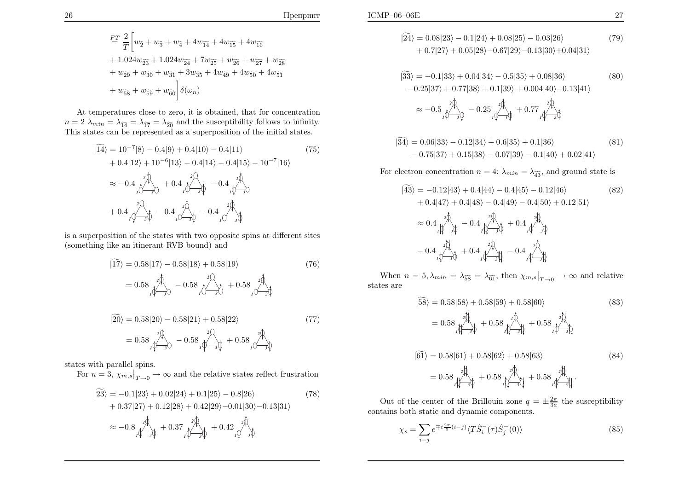$$
\begin{split} &\frac{FT}{T}\sum_{i=1}^{T}\bigg[ w_{\widetilde{2}}+w_{\widetilde{3}}+w_{\widetilde{4}}+4w_{\widetilde{14}}+4w_{\widetilde{15}}+4w_{\widetilde{16}}\\ &+1.024w_{\widetilde{23}}+1.024w_{\widetilde{24}}+7w_{\widetilde{25}}+w_{\widetilde{26}}+w_{\widetilde{27}}+w_{\widetilde{28}}\\ &+w_{\widetilde{29}}+w_{\widetilde{30}}+w_{\widetilde{31}}+3w_{\widetilde{35}}+4w_{\widetilde{49}}+4w_{\widetilde{50}}+4w_{\widetilde{51}}\\ &+w_{\widetilde{58}}+w_{\widetilde{59}}+w_{\widetilde{60}}\bigg]\delta(\omega_n) \end{split}
$$

At temperatures close to zero, it is obtained, that for concentration $n = 2 \lambda_{min} = \lambda_{\widetilde{14}} = \lambda_{\widetilde{17}} = \lambda_{\widetilde{20}}$  and the susceptibility follows to infinity. This states can be represented as <sup>a</sup> superposition of the initial states.

$$
|\widetilde{14}\rangle = 10^{-7}|8\rangle - 0.4|9\rangle + 0.4|10\rangle - 0.4|11\rangle \qquad (75)
$$
  
+ 0.4|12\rangle + 10^{-6}|13\rangle - 0.4|14\rangle - 0.4|15\rangle - 10^{-7}|16\rangle  

$$
\approx -0.4 \int_{1}^{2\pi} \int_{3}^{2\pi} + 0.4 \int_{1}^{2\pi} \int_{3}^{2\pi} - 0.4 \int_{1}^{2\pi} \int_{3}^{2\pi} - 0.4 \int_{1}^{2\pi} \int_{3}^{2\pi} \int_{0}^{2\pi} \frac{1}{3\pi} \frac{1}{3\pi} \frac{1}{3\pi} \frac{1}{3\pi} \frac{1}{3\pi} \frac{1}{3\pi} \frac{1}{3\pi} \frac{1}{3\pi} \frac{1}{3\pi} \frac{1}{3\pi} \frac{1}{3\pi} \frac{1}{3\pi} \frac{1}{3\pi} \frac{1}{3\pi} \frac{1}{3\pi} \frac{1}{3\pi} \frac{1}{3\pi} \frac{1}{3\pi} \frac{1}{3\pi} \frac{1}{3\pi} \frac{1}{3\pi} \frac{1}{3\pi} \frac{1}{3\pi} \frac{1}{3\pi} \frac{1}{3\pi} \frac{1}{3\pi} \frac{1}{3\pi} \frac{1}{3\pi} \frac{1}{3\pi} \frac{1}{3\pi} \frac{1}{3\pi} \frac{1}{3\pi} \frac{1}{3\pi} \frac{1}{3\pi} \frac{1}{3\pi} \frac{1}{3\pi} \frac{1}{3\pi} \frac{1}{3\pi} \frac{1}{3\pi} \frac{1}{3\pi} \frac{1}{3\pi} \frac{1}{3\pi} \frac{1}{3\pi} \frac{1}{3\pi} \frac{1}{3\pi} \frac{1}{3\pi} \frac{1}{3\pi} \frac{1}{3\pi} \frac{1}{3\pi} \frac{1}{3\pi} \frac{1}{3\pi} \frac{1}{3\pi} \frac{1}{3\pi} \frac{1}{3\pi} \frac{1}{3\pi} \frac{1}{3\pi} \frac{1}{3\pi} \frac{1}{3\pi} \frac{1}{3\pi} \
$$

is <sup>a</sup> superposition of the states with two opposite spins at different sites (something like an itinerant RVB bound) and

$$
|\widetilde{17}\rangle = 0.58|17\rangle - 0.58|18\rangle + 0.58|19\rangle
$$
\n
$$
= 0.58 \int_{10^{-3}}^{20} \sqrt{1 - 0.58} \int_{10^{-3}}^{20} \sqrt{1 - 0.58} \int_{0}^{20} \sqrt{1 - 0.58} \int_{0}^{20} \sqrt{1 - 0.58} \int_{0}^{20} \sqrt{1 - 0.58} \int_{0}^{20} \sqrt{1 - 0.58} \int_{0}^{20} \sqrt{1 - 0.58} \sqrt{1 - 0.58} \int_{0}^{20} \sqrt{1 - 0.58} \sqrt{1 - 0.58} \int_{0}^{20} \sqrt{1 - 0.58} \sqrt{1 - 0.58} \sqrt{1 - 0.58} \int_{0}^{20} \sqrt{1 - 0.58} \sqrt{1 - 0.58} \sqrt{1 - 0.58} \sqrt{1 - 0.58} \sqrt{1 - 0.58} \sqrt{1 - 0.58} \sqrt{1 - 0.58} \sqrt{1 - 0.58} \sqrt{1 - 0.58} \sqrt{1 - 0.58} \sqrt{1 - 0.58} \sqrt{1 - 0.58} \sqrt{1 - 0.58} \sqrt{1 - 0.58} \sqrt{1 - 0.58} \sqrt{1 - 0.58} \sqrt{1 - 0.58} \sqrt{1 - 0.58} \sqrt{1 - 0.58} \sqrt{1 - 0.58} \sqrt{1 - 0.58} \sqrt{1 - 0.58} \sqrt{1 - 0.58} \sqrt{1 - 0.58} \sqrt{1 - 0.58} \sqrt{1 - 0.58} \sqrt{1 - 0.58} \sqrt{1 - 0.58} \sqrt{1 - 0.58} \sqrt{1 - 0.58} \sqrt{1 - 0.58} \sqrt{1 - 0.58} \sqrt{1 - 0.58} \sqrt{1 - 0.58} \sqrt{1 - 0.58} \sqrt{1 - 0.58} \sqrt{1 - 0.58} \sqrt{1 - 0.58} \sqrt{1 - 0.58} \sqrt{1 - 0.58} \sqrt{1 - 0.58} \sqrt{1 - 0.58}
$$

$$
|20\rangle = 0.58|20\rangle - 0.58|21\rangle + 0.58|22\rangle
$$
\n
$$
= 0.58 \, \text{m/s}^2
$$
\n
$$
= 0.58 \, \text{m/s}^2
$$
\n
$$
- 0.58 \, \text{m/s}^2
$$
\n
$$
+ 0.58 \, \text{m/s}^2
$$
\n
$$
+ 0.58 \, \text{m/s}^2
$$
\n
$$
+ 0.58 \, \text{m/s}^2
$$
\n
$$
+ 0.58 \, \text{m/s}^2
$$
\n
$$
+ 0.58 \, \text{m/s}^2
$$
\n
$$
+ 0.58 \, \text{m/s}^2
$$

states with parallel spins.

For  $n = 3$ ,  $\chi_{m,s}|_{T \to 0} \to \infty$  and the relative states reflect frustration

$$
|23\rangle = -0.1|23\rangle + 0.02|24\rangle + 0.1|25\rangle - 0.8|26\rangle
$$
\n
$$
+ 0.37|27\rangle + 0.12|28\rangle + 0.42|29\rangle - 0.01|30\rangle - 0.13|31\rangle
$$
\n
$$
\approx -0.8 \int_{1}^{2\pi} \oint_{3\pi} + 0.37 \int_{1}^{2\pi} \oint_{3\pi} + 0.42 \int_{1}^{2\pi} \oint_{3\pi} + 0.4\pi \int_{1}^{2\pi} \oint_{3\pi} + 0.42 \int_{1}^{2\pi} \oint_{3\pi} + 0.42 \int_{1}^{2\pi} \oint_{3\pi} + 0.42 \int_{1}^{2\pi} \oint_{3\pi} + 0.42 \int_{1}^{2\pi} \oint_{3\pi} + 0.42 \int_{1}^{2\pi} \oint_{3\pi} + 0.42 \int_{1}^{2\pi} \oint_{3\pi} + 0.42 \int_{1}^{2\pi} \oint_{3\pi} + 0.42 \int_{1}^{2\pi} \oint_{3\pi} + 0.42 \int_{1}^{2\pi} \oint_{3\pi} + 0.42 \int_{1}^{2\pi} \oint_{3\pi} + 0.42 \int_{1}^{2\pi} \oint_{3\pi} + 0.42 \int_{1}^{2\pi} \oint_{3\pi} + 0.42 \int_{1}^{2\pi} \oint_{3\pi} + 0.42 \int_{1}^{2\pi} \oint_{3\pi} + 0.42 \int_{1}^{2\pi} \oint_{3\pi} + 0.42 \int_{1}^{2\pi} \oint_{3\pi} + 0.42 \int_{1}^{2\pi} \oint_{3\pi} + 0.42 \int_{1}^{2\pi} \oint_{3\pi} + 0.42 \int_{1}^{2\pi} \oint_{3\pi} + 0.42 \int_{1}^{2\pi} \oint_{3\pi} + 0.42 \int_{1}^{2\pi} \oint_{3\pi} + 0.42 \int_{1}^{2\pi} \oint_{3\pi} + 0.42 \int_{1}^{2\pi} \oint_{3\pi} + 0.42 \int_{1}^{2\pi} \
$$

$$
|24\rangle = 0.08|23\rangle - 0.1|24\rangle + 0.08|25\rangle - 0.03|26\rangle
$$
  
+ 0.7|27\rangle + 0.05|28\rangle - 0.67|29\rangle - 0.13|30\rangle + 0.04|31\rangle (79)

$$
|33\rangle = -0.1|33\rangle + 0.04|34\rangle - 0.5|35\rangle + 0.08|36\rangle
$$
\n
$$
-0.25|37\rangle + 0.77|38\rangle + 0.1|39\rangle + 0.004|40\rangle - 0.13|41\rangle
$$
\n
$$
\approx -0.5 \int_{1}^{2} \int_{-\frac{3}{2}}^{\frac{3}{2}} \rho - 0.25 \int_{1}^{2} \int_{-\frac{3}{2}}^{\frac{3}{2}} + 0.77 \int_{1}^{2} \rho
$$
\n
$$
(80)
$$

$$
|\widetilde{34}\rangle = 0.06|33\rangle - 0.12|34\rangle + 0.6|35\rangle + 0.1|36\rangle
$$
  
- 0.75|37\rangle + 0.15|38\rangle - 0.07|39\rangle - 0.1|40\rangle + 0.02|41\rangle (81)

For electron concentration  $n = 4$ :  $\lambda_{min} = \lambda_{\widetilde{43}}$ , and ground state is

$$
|43\rangle = -0.12|43\rangle + 0.4|44\rangle - 0.4|45\rangle - 0.12|46\rangle
$$
\n
$$
+ 0.4|47\rangle + 0.4|48\rangle - 0.4|49\rangle - 0.4|50\rangle + 0.12|51\rangle
$$
\n
$$
\approx 0.4 \lim_{t \to -\infty} \frac{2\pi}{t} - 0.4 \lim_{t \to -\infty} \frac{2\pi}{t} + 0.4 \lim_{t \to -\infty} \frac{2\pi}{t} - 0.4 \lim_{t \to -\infty} \frac{2\pi}{t} - 0.4 \lim_{t \to -\infty} \frac{2\pi}{t} - 0.4 \lim_{t \to -\infty} \frac{2\pi}{t} - 0.4 \lim_{t \to -\infty} \frac{2\pi}{t} - 0.4 \lim_{t \to -\infty} \frac{2\pi}{t} - 0.4 \lim_{t \to -\infty} \frac{2\pi}{t} - 0.4 \lim_{t \to -\infty} \frac{2\pi}{t} - 0.4 \lim_{t \to -\infty} \frac{2\pi}{t} - 0.4 \lim_{t \to -\infty} \frac{2\pi}{t} - 0.4 \lim_{t \to -\infty} \frac{2\pi}{t} - 0.4 \lim_{t \to -\infty} \frac{2\pi}{t} - 0.4 \lim_{t \to -\infty} \frac{2\pi}{t} - 0.4 \lim_{t \to -\infty} \frac{2\pi}{t} - 0.4 \lim_{t \to -\infty} \frac{2\pi}{t} - 0.4 \lim_{t \to -\infty} \frac{2\pi}{t} - 0.4 \lim_{t \to -\infty} \frac{2\pi}{t} - 0.4 \lim_{t \to -\infty} \frac{2\pi}{t} - 0.4 \lim_{t \to -\infty} \frac{2\pi}{t} - 0.4 \lim_{t \to -\infty} \frac{2\pi}{t} - 0.4 \lim_{t \to -\infty} \frac{2\pi}{t} - 0.4 \lim_{t \to -\infty} \frac{2\pi}{t} - 0.4 \lim_{t \to -\infty} \frac{2\pi}{t} - 0.4 \lim_{t \to -\infty}
$$

When  $n = 5, \lambda_{min} = \lambda_{\widetilde{58}} = \lambda_{\widetilde{61}}$ , then  $\chi_{m,s}|_{T\to 0} \to \infty$  and relative states are

$$
|\tilde{58}\rangle = 0.58|58\rangle + 0.58|59\rangle + 0.58|60\rangle
$$
\n(83)  
\n
$$
= 0.58 \underset{1}{\overset{2}{\bigcup}} + 0.58 \underset{1}{\overset{2}{\bigcup}} + 0.58 \underset{1}{\overset{2}{\bigcup}} + 0.58 \underset{1}{\overset{2}{\bigcup}} + 0.58 \underset{1}{\overset{2}{\bigcup}} + 0.58 \underset{1}{\overset{2}{\bigcup}} + 0.58 \underset{1}{\overset{2}{\bigcup}} + 0.58 \underset{1}{\overset{2}{\bigcup}} + 0.58 \underset{1}{\overset{2}{\bigcup}} + 0.58 \underset{1}{\overset{2}{\bigcup}} + 0.58 \underset{1}{\overset{2}{\bigcup}} + 0.58 \underset{1}{\overset{2}{\bigcup}} + 0.58 \underset{1}{\overset{2}{\bigcup}} + 0.58 \underset{1}{\overset{2}{\bigcup}} + 0.58 \underset{1}{\overset{2}{\bigcup}} + 0.58 \underset{1}{\overset{2}{\bigcup}} + 0.58 \underset{1}{\overset{2}{\bigcup}} + 0.58 \underset{1}{\overset{2}{\bigcup}} + 0.58 \underset{1}{\overset{2}{\bigcup}} + 0.58 \underset{1}{\overset{2}{\bigcup}} + 0.58 \underset{1}{\overset{2}{\bigcup}} + 0.58 \underset{1}{\overset{2}{\bigcup}} + 0.58 \underset{1}{\overset{2}{\bigcup}} + 0.58 \underset{1}{\overset{2}{\bigcup}} + 0.58 \underset{1}{\overset{2}{\bigcup}} + 0.58 \underset{1}{\overset{2}{\bigcup}} + 0.58 \underset{1}{\overset{2}{\bigcup}} + 0.58 \underset{1}{\overset{2}{\bigcup}} + 0.58 \underset{1}{\overset{2}{\bigcup}} + 0.58 \underset{1}{\overset{2}{\bigcup}} + 0.58 \underset{1}{\overset{2}{\bigcup}} + 0.58 \underset{1}{\overset{2}{\
$$

Out of the center of the Brillouin zone  $q = \pm \frac{2\pi}{3a}$  the susceptibility contains both static and dynamic components.

$$
\chi_s = \sum_{i-j} e^{\mp i \frac{2\pi}{3} (i-j)} \langle T \hat{S}_i^- (\tau) \hat{S}_j^- (0) \rangle \tag{85}
$$